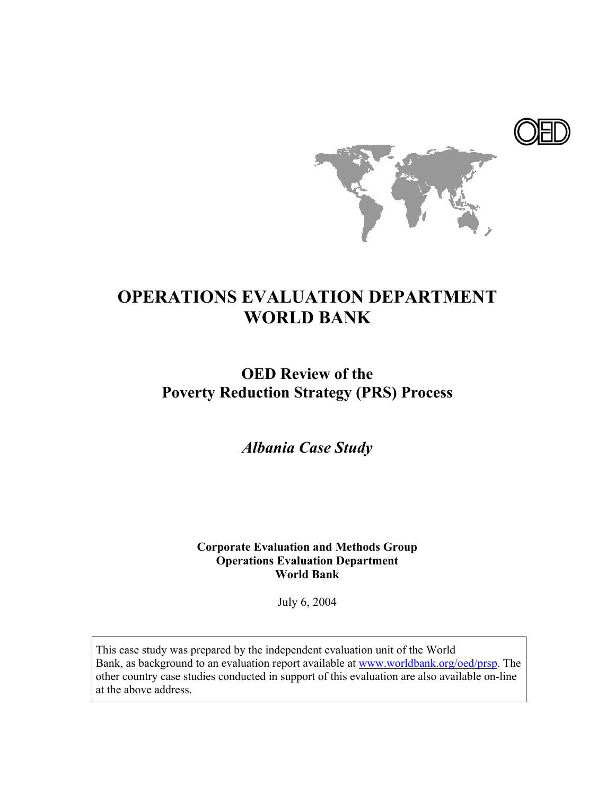

# **OPERATIONS EVALUATION DEPARTMENT WORLD BANK**

# **OED Review of the Poverty Reduction Strategy (PRS) Process**

*Albania Case Study* 

**Corporate Evaluation and Methods Group Operations Evaluation Department World Bank**

July 6, 2004

This case study was prepared by the independent evaluation unit of the World Bank, as background to an evaluation report available at www.worldbank.org/oed/prsp. The other country case studies conducted in support of this evaluation are also available on-line at the above address.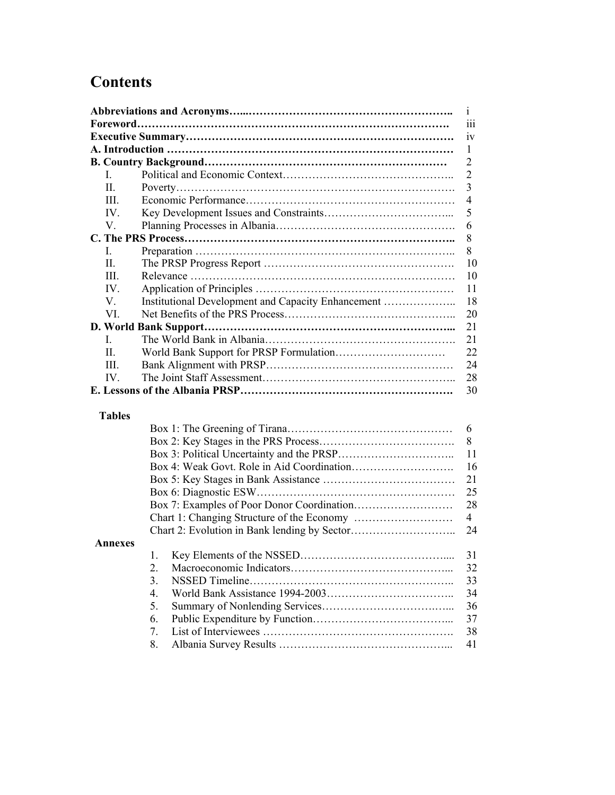# **Contents**

|               |                                                    | $\mathbf{i}$   |
|---------------|----------------------------------------------------|----------------|
|               |                                                    | iii            |
|               |                                                    | iv             |
|               |                                                    | 1              |
|               |                                                    | $\overline{2}$ |
| L             |                                                    | $\overline{2}$ |
| II.           |                                                    | 3              |
| Ш             |                                                    | $\overline{4}$ |
| IV.           |                                                    | 5              |
| V.            |                                                    | 6              |
|               |                                                    | 8              |
| L             |                                                    | 8              |
| II.           |                                                    | 10             |
| III.          |                                                    | 10             |
| IV            |                                                    | 11             |
| V.            | Institutional Development and Capacity Enhancement | 18             |
| VI.           |                                                    | 20             |
|               |                                                    | 21             |
| L             |                                                    | 21             |
| II.           |                                                    | 22             |
| HI.           |                                                    | 24             |
| IV.           |                                                    | 28             |
|               |                                                    | 30             |
|               |                                                    |                |
| <b>Tables</b> |                                                    |                |
|               |                                                    | 6              |
|               |                                                    | 8              |
|               |                                                    | 11             |
|               |                                                    | 16             |
|               |                                                    | 21             |
|               |                                                    | 25             |
|               |                                                    | 28             |
|               |                                                    | $\overline{4}$ |
|               |                                                    | 24             |
| Annexes       |                                                    |                |
|               | 1.                                                 | 31             |
|               | $\overline{2}$ .                                   | 32             |
|               | 3.                                                 | 33             |
|               | 4.                                                 | 34             |
|               | 5<br>Summary of Nonlending Services                | 36             |

5. Summary of Nonlending Services………………………….…... 36 6. Public Expenditure by Function………………………………... 7. List of Interviewees ……………………………………………. 38 8. Albania Survey Results ………………………………………... 41 37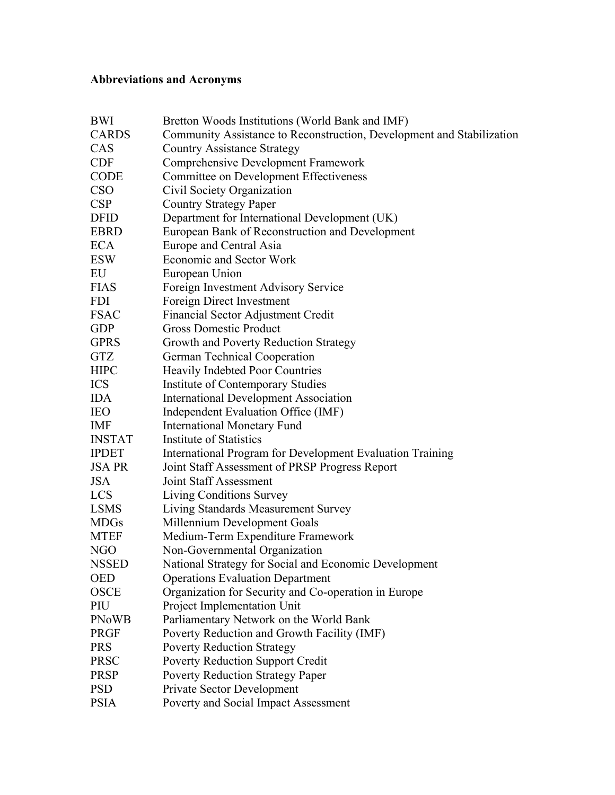## **Abbreviations and Acronyms**

| BWI           | Bretton Woods Institutions (World Bank and IMF)                       |
|---------------|-----------------------------------------------------------------------|
| <b>CARDS</b>  | Community Assistance to Reconstruction, Development and Stabilization |
| CAS           | <b>Country Assistance Strategy</b>                                    |
| <b>CDF</b>    | <b>Comprehensive Development Framework</b>                            |
| <b>CODE</b>   | <b>Committee on Development Effectiveness</b>                         |
| <b>CSO</b>    | Civil Society Organization                                            |
| CSP           | <b>Country Strategy Paper</b>                                         |
| <b>DFID</b>   | Department for International Development (UK)                         |
| <b>EBRD</b>   | European Bank of Reconstruction and Development                       |
| <b>ECA</b>    | Europe and Central Asia                                               |
| <b>ESW</b>    | <b>Economic and Sector Work</b>                                       |
| EU            | European Union                                                        |
| <b>FIAS</b>   | Foreign Investment Advisory Service                                   |
| <b>FDI</b>    | Foreign Direct Investment                                             |
| <b>FSAC</b>   | Financial Sector Adjustment Credit                                    |
| <b>GDP</b>    | <b>Gross Domestic Product</b>                                         |
| <b>GPRS</b>   | Growth and Poverty Reduction Strategy                                 |
| <b>GTZ</b>    | German Technical Cooperation                                          |
| <b>HIPC</b>   | <b>Heavily Indebted Poor Countries</b>                                |
| <b>ICS</b>    | <b>Institute of Contemporary Studies</b>                              |
| <b>IDA</b>    | <b>International Development Association</b>                          |
| <b>IEO</b>    | Independent Evaluation Office (IMF)                                   |
| <b>IMF</b>    | <b>International Monetary Fund</b>                                    |
| <b>INSTAT</b> | Institute of Statistics                                               |
| <b>IPDET</b>  | International Program for Development Evaluation Training             |
| <b>JSA PR</b> | Joint Staff Assessment of PRSP Progress Report                        |
| <b>JSA</b>    | <b>Joint Staff Assessment</b>                                         |
| <b>LCS</b>    | Living Conditions Survey                                              |
| <b>LSMS</b>   | Living Standards Measurement Survey                                   |
| <b>MDGs</b>   | Millennium Development Goals                                          |
| <b>MTEF</b>   | Medium-Term Expenditure Framework                                     |
| <b>NGO</b>    | Non-Governmental Organization                                         |
| <b>NSSED</b>  | National Strategy for Social and Economic Development                 |
| <b>OED</b>    | <b>Operations Evaluation Department</b>                               |
| <b>OSCE</b>   | Organization for Security and Co-operation in Europe                  |
| PIU           | Project Implementation Unit                                           |
| <b>PNoWB</b>  | Parliamentary Network on the World Bank                               |
| <b>PRGF</b>   | Poverty Reduction and Growth Facility (IMF)                           |
| <b>PRS</b>    | <b>Poverty Reduction Strategy</b>                                     |
| <b>PRSC</b>   | <b>Poverty Reduction Support Credit</b>                               |
| <b>PRSP</b>   | <b>Poverty Reduction Strategy Paper</b>                               |
| <b>PSD</b>    | Private Sector Development                                            |
| <b>PSIA</b>   | Poverty and Social Impact Assessment                                  |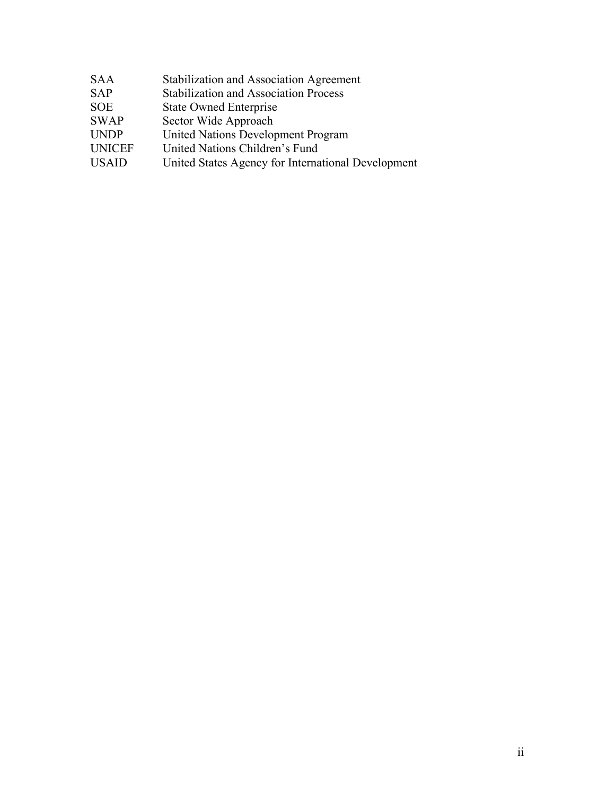| <b>Stabilization and Association Agreement</b>     |
|----------------------------------------------------|
| <b>Stabilization and Association Process</b>       |
| <b>State Owned Enterprise</b>                      |
| Sector Wide Approach                               |
| United Nations Development Program                 |
| United Nations Children's Fund                     |
| United States Agency for International Development |
|                                                    |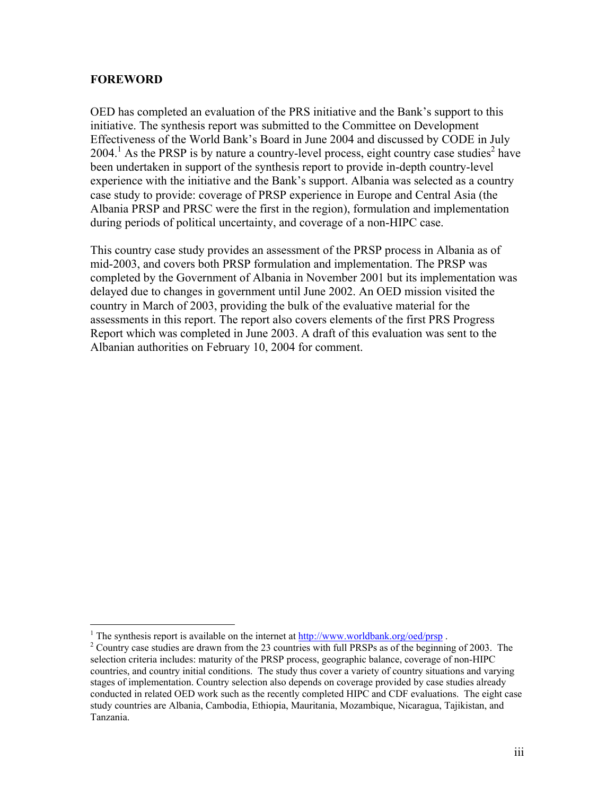#### **FOREWORD**

1

OED has completed an evaluation of the PRS initiative and the Bank's support to this initiative. The synthesis report was submitted to the Committee on Development Effectiveness of the World Bank's Board in June 2004 and discussed by CODE in July  $2004$ .<sup>1</sup> As the PRSP is by nature a country-level process, eight country case studies<sup>2</sup> have been undertaken in support of the synthesis report to provide in-depth country-level experience with the initiative and the Bank's support. Albania was selected as a country case study to provide: coverage of PRSP experience in Europe and Central Asia (the Albania PRSP and PRSC were the first in the region), formulation and implementation during periods of political uncertainty, and coverage of a non-HIPC case.

This country case study provides an assessment of the PRSP process in Albania as of mid-2003, and covers both PRSP formulation and implementation. The PRSP was completed by the Government of Albania in November 2001 but its implementation was delayed due to changes in government until June 2002. An OED mission visited the country in March of 2003, providing the bulk of the evaluative material for the assessments in this report. The report also covers elements of the first PRS Progress Report which was completed in June 2003. A draft of this evaluation was sent to the Albanian authorities on February 10, 2004 for comment.

<sup>&</sup>lt;sup>1</sup> The synthesis report is available on the internet at  $\frac{http://www.worldbank.org/oed/prsp}{http://www.worldbank.org/oed/prsp}$ .

<sup>&</sup>lt;sup>2</sup> Country case studies are drawn from the 23 countries with full PRSPs as of the beginning of 2003. The selection criteria includes: maturity of the PRSP process, geographic balance, coverage of non-HIPC countries, and country initial conditions. The study thus cover a variety of country situations and varying stages of implementation. Country selection also depends on coverage provided by case studies already conducted in related OED work such as the recently completed HIPC and CDF evaluations. The eight case study countries are Albania, Cambodia, Ethiopia, Mauritania, Mozambique, Nicaragua, Tajikistan, and Tanzania.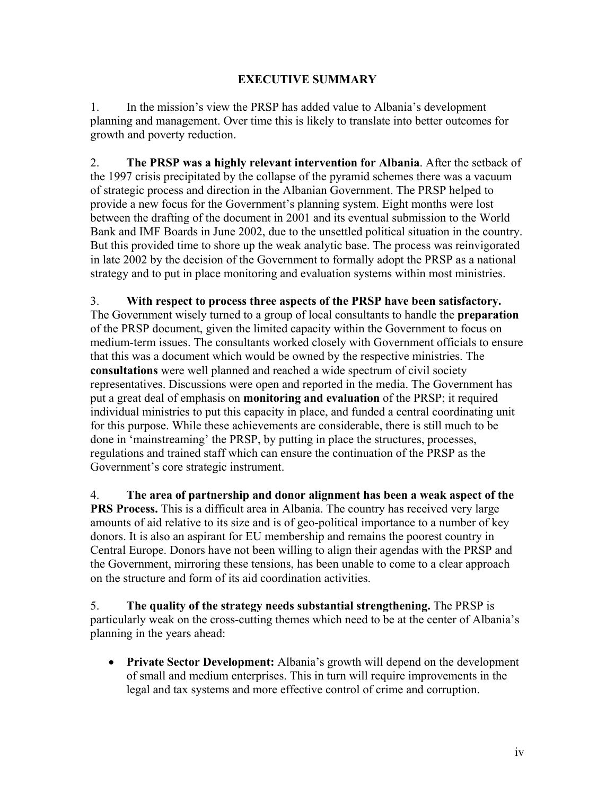## **EXECUTIVE SUMMARY**

1. In the mission's view the PRSP has added value to Albania's development planning and management. Over time this is likely to translate into better outcomes for growth and poverty reduction.

2. **The PRSP was a highly relevant intervention for Albania**. After the setback of the 1997 crisis precipitated by the collapse of the pyramid schemes there was a vacuum of strategic process and direction in the Albanian Government. The PRSP helped to provide a new focus for the Government's planning system. Eight months were lost between the drafting of the document in 2001 and its eventual submission to the World Bank and IMF Boards in June 2002, due to the unsettled political situation in the country. But this provided time to shore up the weak analytic base. The process was reinvigorated in late 2002 by the decision of the Government to formally adopt the PRSP as a national strategy and to put in place monitoring and evaluation systems within most ministries.

3. **With respect to process three aspects of the PRSP have been satisfactory.**  The Government wisely turned to a group of local consultants to handle the **preparation**  of the PRSP document, given the limited capacity within the Government to focus on medium-term issues. The consultants worked closely with Government officials to ensure that this was a document which would be owned by the respective ministries. The **consultations** were well planned and reached a wide spectrum of civil society representatives. Discussions were open and reported in the media. The Government has put a great deal of emphasis on **monitoring and evaluation** of the PRSP; it required individual ministries to put this capacity in place, and funded a central coordinating unit for this purpose. While these achievements are considerable, there is still much to be done in 'mainstreaming' the PRSP, by putting in place the structures, processes, regulations and trained staff which can ensure the continuation of the PRSP as the Government's core strategic instrument.

4. **The area of partnership and donor alignment has been a weak aspect of the PRS Process.** This is a difficult area in Albania. The country has received very large amounts of aid relative to its size and is of geo-political importance to a number of key donors. It is also an aspirant for EU membership and remains the poorest country in Central Europe. Donors have not been willing to align their agendas with the PRSP and the Government, mirroring these tensions, has been unable to come to a clear approach on the structure and form of its aid coordination activities.

5. **The quality of the strategy needs substantial strengthening.** The PRSP is particularly weak on the cross-cutting themes which need to be at the center of Albania's planning in the years ahead:

• **Private Sector Development:** Albania's growth will depend on the development of small and medium enterprises. This in turn will require improvements in the legal and tax systems and more effective control of crime and corruption.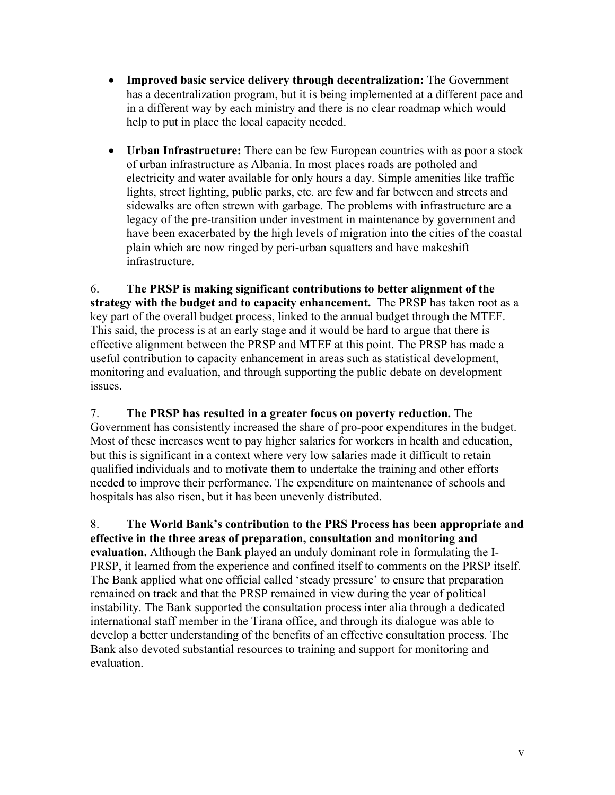- **Improved basic service delivery through decentralization:** The Government has a decentralization program, but it is being implemented at a different pace and in a different way by each ministry and there is no clear roadmap which would help to put in place the local capacity needed.
- **Urban Infrastructure:** There can be few European countries with as poor a stock of urban infrastructure as Albania. In most places roads are potholed and electricity and water available for only hours a day. Simple amenities like traffic lights, street lighting, public parks, etc. are few and far between and streets and sidewalks are often strewn with garbage. The problems with infrastructure are a legacy of the pre-transition under investment in maintenance by government and have been exacerbated by the high levels of migration into the cities of the coastal plain which are now ringed by peri-urban squatters and have makeshift infrastructure.

6. **The PRSP is making significant contributions to better alignment of the strategy with the budget and to capacity enhancement.** The PRSP has taken root as a key part of the overall budget process, linked to the annual budget through the MTEF. This said, the process is at an early stage and it would be hard to argue that there is effective alignment between the PRSP and MTEF at this point. The PRSP has made a useful contribution to capacity enhancement in areas such as statistical development, monitoring and evaluation, and through supporting the public debate on development issues.

7. **The PRSP has resulted in a greater focus on poverty reduction.** The Government has consistently increased the share of pro-poor expenditures in the budget. Most of these increases went to pay higher salaries for workers in health and education, but this is significant in a context where very low salaries made it difficult to retain qualified individuals and to motivate them to undertake the training and other efforts needed to improve their performance. The expenditure on maintenance of schools and hospitals has also risen, but it has been unevenly distributed.

8. **The World Bank's contribution to the PRS Process has been appropriate and effective in the three areas of preparation, consultation and monitoring and evaluation.** Although the Bank played an unduly dominant role in formulating the I-PRSP, it learned from the experience and confined itself to comments on the PRSP itself. The Bank applied what one official called 'steady pressure' to ensure that preparation remained on track and that the PRSP remained in view during the year of political instability. The Bank supported the consultation process inter alia through a dedicated international staff member in the Tirana office, and through its dialogue was able to develop a better understanding of the benefits of an effective consultation process. The Bank also devoted substantial resources to training and support for monitoring and evaluation.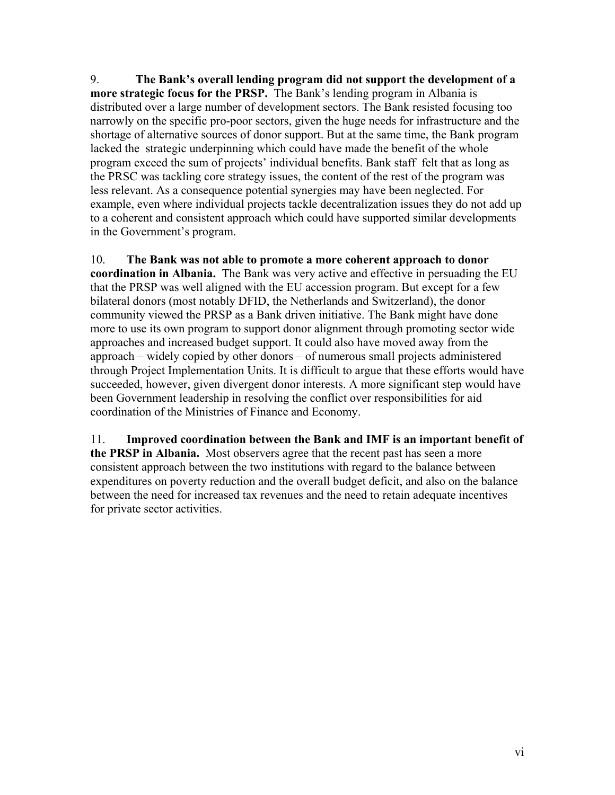9. **The Bank's overall lending program did not support the development of a more strategic focus for the PRSP.** The Bank's lending program in Albania is distributed over a large number of development sectors. The Bank resisted focusing too narrowly on the specific pro-poor sectors, given the huge needs for infrastructure and the shortage of alternative sources of donor support. But at the same time, the Bank program lacked the strategic underpinning which could have made the benefit of the whole program exceed the sum of projects' individual benefits. Bank staff felt that as long as the PRSC was tackling core strategy issues, the content of the rest of the program was less relevant. As a consequence potential synergies may have been neglected. For example, even where individual projects tackle decentralization issues they do not add up to a coherent and consistent approach which could have supported similar developments in the Government's program.

10. **The Bank was not able to promote a more coherent approach to donor coordination in Albania.** The Bank was very active and effective in persuading the EU that the PRSP was well aligned with the EU accession program. But except for a few bilateral donors (most notably DFID, the Netherlands and Switzerland), the donor community viewed the PRSP as a Bank driven initiative. The Bank might have done more to use its own program to support donor alignment through promoting sector wide approaches and increased budget support. It could also have moved away from the approach – widely copied by other donors – of numerous small projects administered through Project Implementation Units. It is difficult to argue that these efforts would have succeeded, however, given divergent donor interests. A more significant step would have been Government leadership in resolving the conflict over responsibilities for aid coordination of the Ministries of Finance and Economy.

11. **Improved coordination between the Bank and IMF is an important benefit of the PRSP in Albania.** Most observers agree that the recent past has seen a more consistent approach between the two institutions with regard to the balance between expenditures on poverty reduction and the overall budget deficit, and also on the balance between the need for increased tax revenues and the need to retain adequate incentives for private sector activities.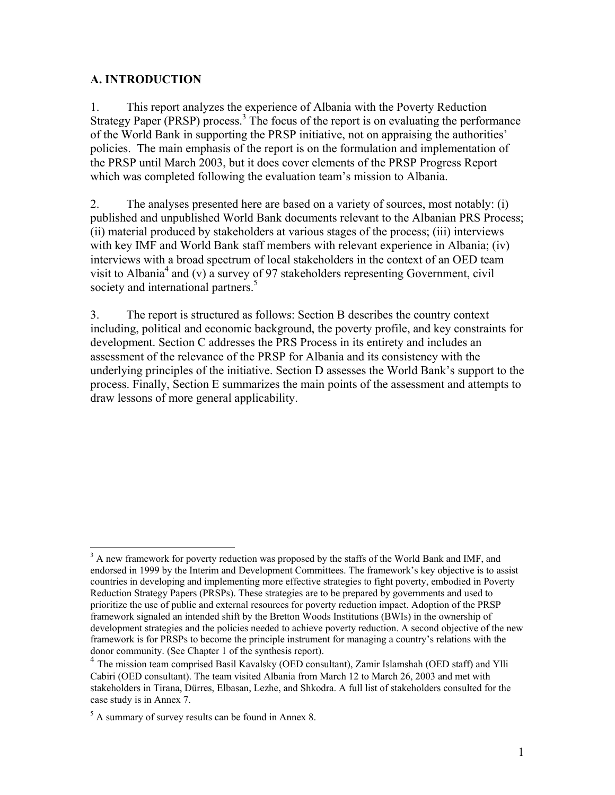### **A. INTRODUCTION**

1. This report analyzes the experience of Albania with the Poverty Reduction Strategy Paper (PRSP) process.<sup>3</sup> The focus of the report is on evaluating the performance of the World Bank in supporting the PRSP initiative, not on appraising the authorities' policies. The main emphasis of the report is on the formulation and implementation of the PRSP until March 2003, but it does cover elements of the PRSP Progress Report which was completed following the evaluation team's mission to Albania.

2. The analyses presented here are based on a variety of sources, most notably: (i) published and unpublished World Bank documents relevant to the Albanian PRS Process; (ii) material produced by stakeholders at various stages of the process; (iii) interviews with key IMF and World Bank staff members with relevant experience in Albania; (iv) interviews with a broad spectrum of local stakeholders in the context of an OED team visit to Albania<sup>4</sup> and (v) a survey of 97 stakeholders representing Government, civil society and international partners.<sup>5</sup>

3. The report is structured as follows: Section B describes the country context including, political and economic background, the poverty profile, and key constraints for development. Section C addresses the PRS Process in its entirety and includes an assessment of the relevance of the PRSP for Albania and its consistency with the underlying principles of the initiative. Section D assesses the World Bank's support to the process. Finally, Section E summarizes the main points of the assessment and attempts to draw lessons of more general applicability.

<sup>&</sup>lt;sup>3</sup> A new framework for poverty reduction was proposed by the staffs of the World Bank and IMF, and endorsed in 1999 by the Interim and Development Committees. The framework's key objective is to assist countries in developing and implementing more effective strategies to fight poverty, embodied in Poverty Reduction Strategy Papers (PRSPs). These strategies are to be prepared by governments and used to prioritize the use of public and external resources for poverty reduction impact. Adoption of the PRSP framework signaled an intended shift by the Bretton Woods Institutions (BWIs) in the ownership of development strategies and the policies needed to achieve poverty reduction. A second objective of the new framework is for PRSPs to become the principle instrument for managing a country's relations with the donor community. (See Chapter 1 of the synthesis report).

<sup>&</sup>lt;sup>4</sup> The mission team comprised Basil Kavalsky (OED consultant), Zamir Islamshah (OED staff) and Ylli Cabiri (OED consultant). The team visited Albania from March 12 to March 26, 2003 and met with stakeholders in Tirana, Dürres, Elbasan, Lezhe, and Shkodra. A full list of stakeholders consulted for the case study is in Annex 7.

 $<sup>5</sup>$  A summary of survey results can be found in Annex 8.</sup>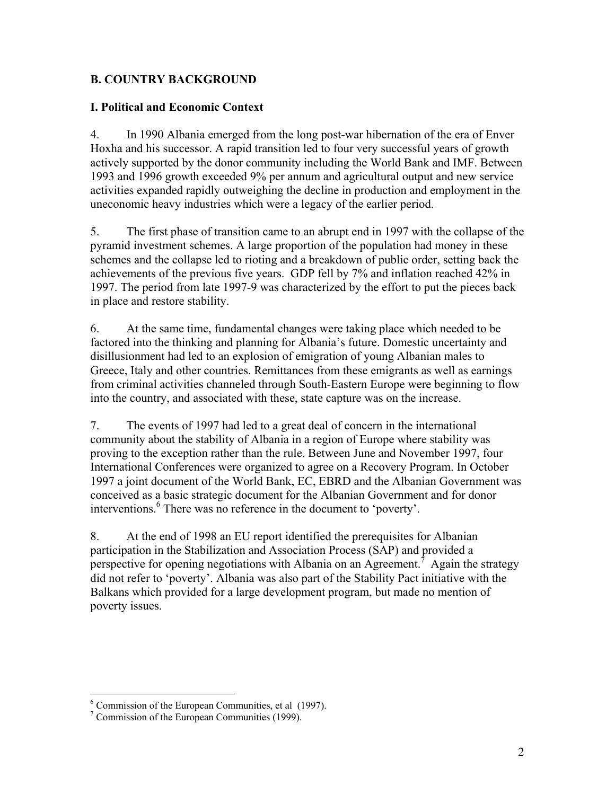## **B. COUNTRY BACKGROUND**

#### **I. Political and Economic Context**

4. In 1990 Albania emerged from the long post-war hibernation of the era of Enver Hoxha and his successor. A rapid transition led to four very successful years of growth actively supported by the donor community including the World Bank and IMF. Between 1993 and 1996 growth exceeded 9% per annum and agricultural output and new service activities expanded rapidly outweighing the decline in production and employment in the uneconomic heavy industries which were a legacy of the earlier period.

5. The first phase of transition came to an abrupt end in 1997 with the collapse of the pyramid investment schemes. A large proportion of the population had money in these schemes and the collapse led to rioting and a breakdown of public order, setting back the achievements of the previous five years. GDP fell by 7% and inflation reached 42% in 1997. The period from late 1997-9 was characterized by the effort to put the pieces back in place and restore stability.

6. At the same time, fundamental changes were taking place which needed to be factored into the thinking and planning for Albania's future. Domestic uncertainty and disillusionment had led to an explosion of emigration of young Albanian males to Greece, Italy and other countries. Remittances from these emigrants as well as earnings from criminal activities channeled through South-Eastern Europe were beginning to flow into the country, and associated with these, state capture was on the increase.

7. The events of 1997 had led to a great deal of concern in the international community about the stability of Albania in a region of Europe where stability was proving to the exception rather than the rule. Between June and November 1997, four International Conferences were organized to agree on a Recovery Program. In October 1997 a joint document of the World Bank, EC, EBRD and the Albanian Government was conceived as a basic strategic document for the Albanian Government and for donor interventions.<sup>6</sup> There was no reference in the document to 'poverty'.

8. At the end of 1998 an EU report identified the prerequisites for Albanian participation in the Stabilization and Association Process (SAP) and provided a perspective for opening negotiations with Albania on an Agreement.<sup>7</sup> Again the strategy did not refer to 'poverty'. Albania was also part of the Stability Pact initiative with the Balkans which provided for a large development program, but made no mention of poverty issues.

<sup>&</sup>lt;sup>6</sup> Commission of the European Communities, et al (1997).

<sup>7</sup> Commission of the European Communities (1999).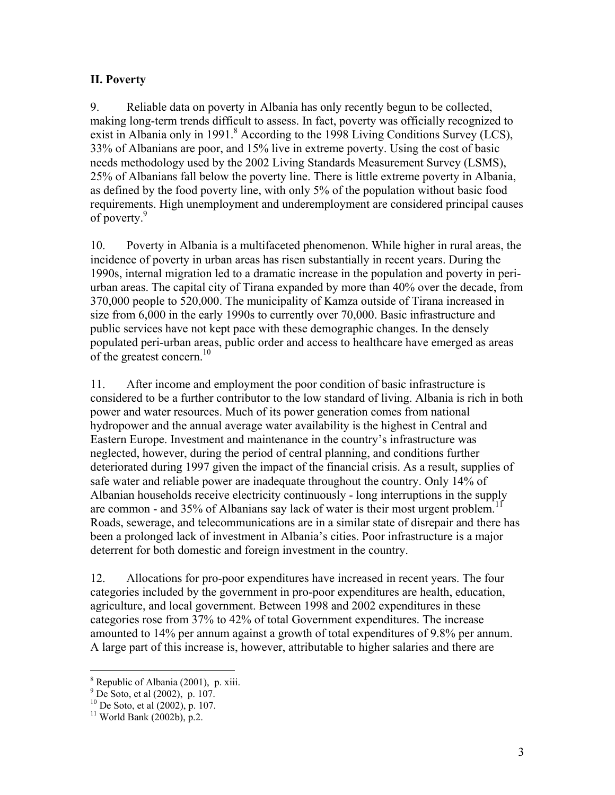## **II. Poverty**

9. Reliable data on poverty in Albania has only recently begun to be collected, making long-term trends difficult to assess. In fact, poverty was officially recognized to exist in Albania only in 1991. $8$  According to the 1998 Living Conditions Survey (LCS), 33% of Albanians are poor, and 15% live in extreme poverty. Using the cost of basic needs methodology used by the 2002 Living Standards Measurement Survey (LSMS), 25% of Albanians fall below the poverty line. There is little extreme poverty in Albania, as defined by the food poverty line, with only 5% of the population without basic food requirements. High unemployment and underemployment are considered principal causes of poverty.<sup>9</sup>

10. Poverty in Albania is a multifaceted phenomenon. While higher in rural areas, the incidence of poverty in urban areas has risen substantially in recent years. During the 1990s, internal migration led to a dramatic increase in the population and poverty in periurban areas. The capital city of Tirana expanded by more than 40% over the decade, from 370,000 people to 520,000. The municipality of Kamza outside of Tirana increased in size from 6,000 in the early 1990s to currently over 70,000. Basic infrastructure and public services have not kept pace with these demographic changes. In the densely populated peri-urban areas, public order and access to healthcare have emerged as areas of the greatest concern.<sup>10</sup>

11. After income and employment the poor condition of basic infrastructure is considered to be a further contributor to the low standard of living. Albania is rich in both power and water resources. Much of its power generation comes from national hydropower and the annual average water availability is the highest in Central and Eastern Europe. Investment and maintenance in the country's infrastructure was neglected, however, during the period of central planning, and conditions further deteriorated during 1997 given the impact of the financial crisis. As a result, supplies of safe water and reliable power are inadequate throughout the country. Only 14% of Albanian households receive electricity continuously - long interruptions in the supply are common - and  $35\%$  of Albanians say lack of water is their most urgent problem.<sup>1</sup> Roads, sewerage, and telecommunications are in a similar state of disrepair and there has been a prolonged lack of investment in Albania's cities. Poor infrastructure is a major deterrent for both domestic and foreign investment in the country.

12. Allocations for pro-poor expenditures have increased in recent years. The four categories included by the government in pro-poor expenditures are health, education, agriculture, and local government. Between 1998 and 2002 expenditures in these categories rose from 37% to 42% of total Government expenditures. The increase amounted to 14% per annum against a growth of total expenditures of 9.8% per annum. A large part of this increase is, however, attributable to higher salaries and there are

<u>.</u>

<sup>8</sup> Republic of Albania (2001), p. xiii.

<sup>9</sup> De Soto, et al (2002), p. 107.

 $10$  De Soto, et al (2002), p. 107.

 $11$  World Bank (2002b), p.2.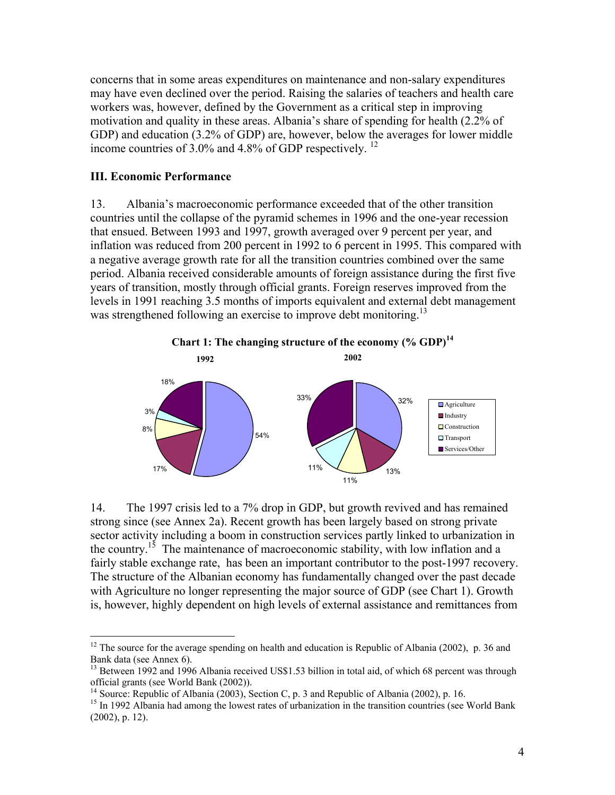concerns that in some areas expenditures on maintenance and non-salary expenditures may have even declined over the period. Raising the salaries of teachers and health care workers was, however, defined by the Government as a critical step in improving motivation and quality in these areas. Albania's share of spending for health (2.2% of GDP) and education (3.2% of GDP) are, however, below the averages for lower middle income countries of  $3.0\%$  and  $4.8\%$  of GDP respectively. <sup>12</sup>

#### **III. Economic Performance**

 $\overline{a}$ 

13. Albania's macroeconomic performance exceeded that of the other transition countries until the collapse of the pyramid schemes in 1996 and the one-year recession that ensued. Between 1993 and 1997, growth averaged over 9 percent per year, and inflation was reduced from 200 percent in 1992 to 6 percent in 1995. This compared with a negative average growth rate for all the transition countries combined over the same period. Albania received considerable amounts of foreign assistance during the first five years of transition, mostly through official grants. Foreign reserves improved from the levels in 1991 reaching 3.5 months of imports equivalent and external debt management was strengthened following an exercise to improve debt monitoring.<sup>13</sup>



14. The 1997 crisis led to a 7% drop in GDP, but growth revived and has remained strong since (see Annex 2a). Recent growth has been largely based on strong private sector activity including a boom in construction services partly linked to urbanization in the country.<sup>15</sup> The maintenance of macroeconomic stability, with low inflation and a fairly stable exchange rate, has been an important contributor to the post-1997 recovery. The structure of the Albanian economy has fundamentally changed over the past decade with Agriculture no longer representing the major source of GDP (see Chart 1). Growth is, however, highly dependent on high levels of external assistance and remittances from

 $12$  The source for the average spending on health and education is Republic of Albania (2002), p. 36 and Bank data (see Annex 6).

<sup>&</sup>lt;sup>13</sup> Between 1992 and 1996 Albania received US\$1.53 billion in total aid, of which 68 percent was through official grants (see World Bank (2002)).

<sup>&</sup>lt;sup>14</sup> Source: Republic of Albania (2003), Section C, p. 3 and Republic of Albania (2002), p. 16.

<sup>&</sup>lt;sup>15</sup> In 1992 Albania had among the lowest rates of urbanization in the transition countries (see World Bank (2002), p. 12).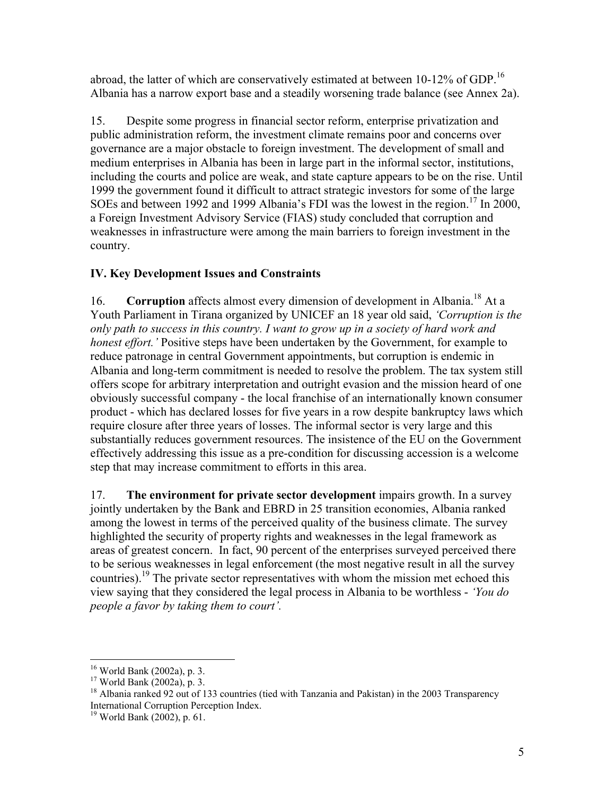abroad, the latter of which are conservatively estimated at between 10-12% of GDP.<sup>16</sup> Albania has a narrow export base and a steadily worsening trade balance (see Annex 2a).

15. Despite some progress in financial sector reform, enterprise privatization and public administration reform, the investment climate remains poor and concerns over governance are a major obstacle to foreign investment. The development of small and medium enterprises in Albania has been in large part in the informal sector, institutions, including the courts and police are weak, and state capture appears to be on the rise. Until 1999 the government found it difficult to attract strategic investors for some of the large SOEs and between 1992 and 1999 Albania's FDI was the lowest in the region.<sup>17</sup> In 2000, a Foreign Investment Advisory Service (FIAS) study concluded that corruption and weaknesses in infrastructure were among the main barriers to foreign investment in the country.

## **IV. Key Development Issues and Constraints**

16. **Corruption** affects almost every dimension of development in Albania.18 At a Youth Parliament in Tirana organized by UNICEF an 18 year old said, *'Corruption is the only path to success in this country. I want to grow up in a society of hard work and honest effort.'* Positive steps have been undertaken by the Government, for example to reduce patronage in central Government appointments, but corruption is endemic in Albania and long-term commitment is needed to resolve the problem. The tax system still offers scope for arbitrary interpretation and outright evasion and the mission heard of one obviously successful company - the local franchise of an internationally known consumer product - which has declared losses for five years in a row despite bankruptcy laws which require closure after three years of losses. The informal sector is very large and this substantially reduces government resources. The insistence of the EU on the Government effectively addressing this issue as a pre-condition for discussing accession is a welcome step that may increase commitment to efforts in this area.

17. **The environment for private sector development** impairs growth. In a survey jointly undertaken by the Bank and EBRD in 25 transition economies, Albania ranked among the lowest in terms of the perceived quality of the business climate. The survey highlighted the security of property rights and weaknesses in the legal framework as areas of greatest concern. In fact, 90 percent of the enterprises surveyed perceived there to be serious weaknesses in legal enforcement (the most negative result in all the survey countries).<sup>19</sup> The private sector representatives with whom the mission met echoed this view saying that they considered the legal process in Albania to be worthless - *'You do people a favor by taking them to court'.* 

 $\overline{a}$ 

<sup>16</sup> World Bank (2002a), p. 3.

<sup>17</sup> World Bank (2002a), p. 3.

<sup>&</sup>lt;sup>18</sup> Albania ranked 92 out of 133 countries (tied with Tanzania and Pakistan) in the 2003 Transparency International Corruption Perception Index.

<sup>19</sup> World Bank (2002), p. 61.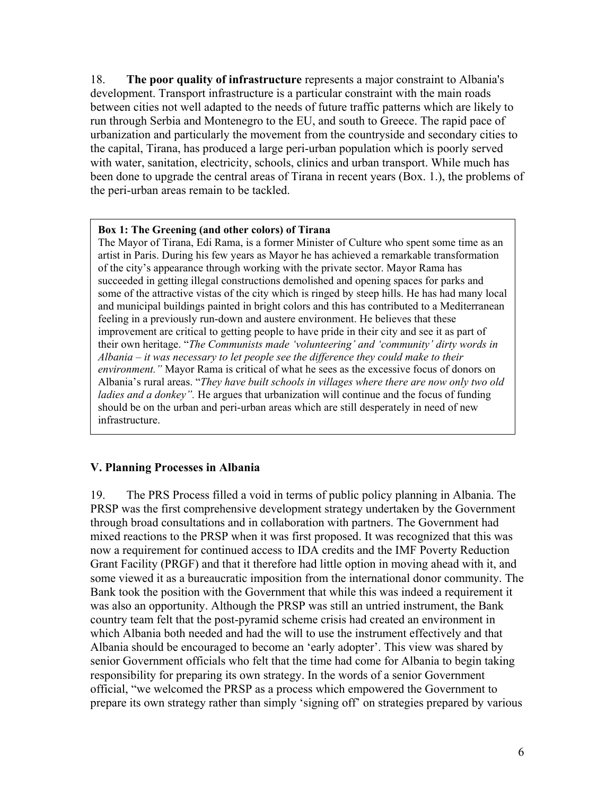18. **The poor quality of infrastructure** represents a major constraint to Albania's development. Transport infrastructure is a particular constraint with the main roads between cities not well adapted to the needs of future traffic patterns which are likely to run through Serbia and Montenegro to the EU, and south to Greece. The rapid pace of urbanization and particularly the movement from the countryside and secondary cities to the capital, Tirana, has produced a large peri-urban population which is poorly served with water, sanitation, electricity, schools, clinics and urban transport. While much has been done to upgrade the central areas of Tirana in recent years (Box. 1.), the problems of the peri-urban areas remain to be tackled.

#### **Box 1: The Greening (and other colors) of Tirana**

The Mayor of Tirana, Edi Rama, is a former Minister of Culture who spent some time as an artist in Paris. During his few years as Mayor he has achieved a remarkable transformation of the city's appearance through working with the private sector. Mayor Rama has succeeded in getting illegal constructions demolished and opening spaces for parks and some of the attractive vistas of the city which is ringed by steep hills. He has had many local and municipal buildings painted in bright colors and this has contributed to a Mediterranean feeling in a previously run-down and austere environment. He believes that these improvement are critical to getting people to have pride in their city and see it as part of their own heritage. "*The Communists made 'volunteering' and 'community' dirty words in Albania – it was necessary to let people see the difference they could make to their environment."* Mayor Rama is critical of what he sees as the excessive focus of donors on Albania's rural areas. "*They have built schools in villages where there are now only two old ladies and a donkey".* He argues that urbanization will continue and the focus of funding should be on the urban and peri-urban areas which are still desperately in need of new infrastructure.

#### **V. Planning Processes in Albania**

19. The PRS Process filled a void in terms of public policy planning in Albania. The PRSP was the first comprehensive development strategy undertaken by the Government through broad consultations and in collaboration with partners. The Government had mixed reactions to the PRSP when it was first proposed. It was recognized that this was now a requirement for continued access to IDA credits and the IMF Poverty Reduction Grant Facility (PRGF) and that it therefore had little option in moving ahead with it, and some viewed it as a bureaucratic imposition from the international donor community. The Bank took the position with the Government that while this was indeed a requirement it was also an opportunity. Although the PRSP was still an untried instrument, the Bank country team felt that the post-pyramid scheme crisis had created an environment in which Albania both needed and had the will to use the instrument effectively and that Albania should be encouraged to become an 'early adopter'. This view was shared by senior Government officials who felt that the time had come for Albania to begin taking responsibility for preparing its own strategy. In the words of a senior Government official, "we welcomed the PRSP as a process which empowered the Government to prepare its own strategy rather than simply 'signing off' on strategies prepared by various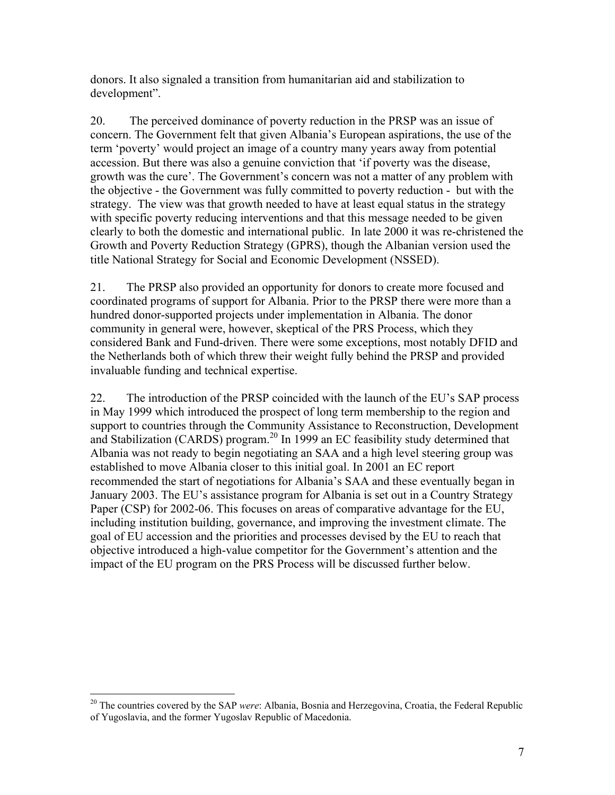donors. It also signaled a transition from humanitarian aid and stabilization to development".

20. The perceived dominance of poverty reduction in the PRSP was an issue of concern. The Government felt that given Albania's European aspirations, the use of the term 'poverty' would project an image of a country many years away from potential accession. But there was also a genuine conviction that 'if poverty was the disease, growth was the cure'. The Government's concern was not a matter of any problem with the objective - the Government was fully committed to poverty reduction - but with the strategy. The view was that growth needed to have at least equal status in the strategy with specific poverty reducing interventions and that this message needed to be given clearly to both the domestic and international public. In late 2000 it was re-christened the Growth and Poverty Reduction Strategy (GPRS), though the Albanian version used the title National Strategy for Social and Economic Development (NSSED).

21. The PRSP also provided an opportunity for donors to create more focused and coordinated programs of support for Albania. Prior to the PRSP there were more than a hundred donor-supported projects under implementation in Albania. The donor community in general were, however, skeptical of the PRS Process, which they considered Bank and Fund-driven. There were some exceptions, most notably DFID and the Netherlands both of which threw their weight fully behind the PRSP and provided invaluable funding and technical expertise.

22. The introduction of the PRSP coincided with the launch of the EU's SAP process in May 1999 which introduced the prospect of long term membership to the region and support to countries through the Community Assistance to Reconstruction, Development and Stabilization (CARDS) program.<sup>20</sup> In 1999 an EC feasibility study determined that Albania was not ready to begin negotiating an SAA and a high level steering group was established to move Albania closer to this initial goal. In 2001 an EC report recommended the start of negotiations for Albania's SAA and these eventually began in January 2003. The EU's assistance program for Albania is set out in a Country Strategy Paper (CSP) for 2002-06. This focuses on areas of comparative advantage for the EU, including institution building, governance, and improving the investment climate. The goal of EU accession and the priorities and processes devised by the EU to reach that objective introduced a high-value competitor for the Government's attention and the impact of the EU program on the PRS Process will be discussed further below.

 $\overline{a}$ 

<sup>20</sup> The countries covered by the SAP *were*: Albania, Bosnia and Herzegovina, Croatia, the Federal Republic of Yugoslavia, and the former Yugoslav Republic of Macedonia.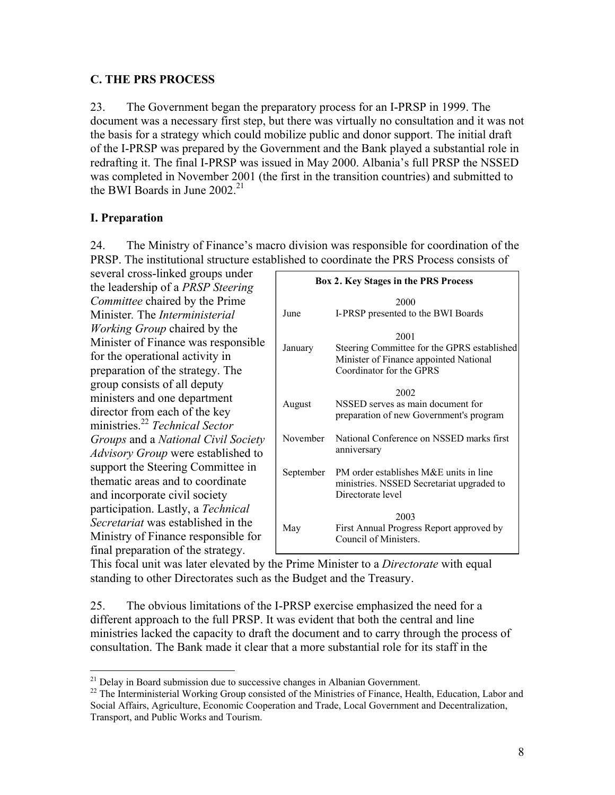### **C. THE PRS PROCESS**

23. The Government began the preparatory process for an I-PRSP in 1999. The document was a necessary first step, but there was virtually no consultation and it was not the basis for a strategy which could mobilize public and donor support. The initial draft of the I-PRSP was prepared by the Government and the Bank played a substantial role in redrafting it. The final I-PRSP was issued in May 2000. Albania's full PRSP the NSSED was completed in November 2001 (the first in the transition countries) and submitted to the BWI Boards in June 2002<sup>21</sup>

## **I. Preparation**

 $\overline{a}$ 

24. The Ministry of Finance's macro division was responsible for coordination of the PRSP. The institutional structure established to coordinate the PRS Process consists of

several cross-linked groups under the leadership of a *PRSP Steering Committee* chaired by the Prime Minister*.* The *Interministerial Working Group* chaired by the Minister of Finance was responsible for the operational activity in preparation of the strategy. The group consists of all deputy ministers and one department director from each of the key ministries.22 *Technical Sector Groups* and a *National Civil Society Advisory Group* were established to support the Steering Committee in thematic areas and to coordinate and incorporate civil society participation. Lastly, a *Technical Secretariat* was established in the Ministry of Finance responsible for final preparation of the strategy.

| <b>Box 2. Key Stages in the PRS Process</b> |                                                                                                                           |  |  |  |
|---------------------------------------------|---------------------------------------------------------------------------------------------------------------------------|--|--|--|
| June                                        | 2000<br>I-PRSP presented to the BWI Boards                                                                                |  |  |  |
| January                                     | 2001<br>Steering Committee for the GPRS established<br>Minister of Finance appointed National<br>Coordinator for the GPRS |  |  |  |
| August                                      | 2002<br>NSSED serves as main document for<br>preparation of new Government's program                                      |  |  |  |
| November                                    | National Conference on NSSED marks first<br>anniversary                                                                   |  |  |  |
| September                                   | PM order establishes M&E units in line<br>ministries. NSSED Secretariat upgraded to<br>Directorate level                  |  |  |  |
| May                                         | 2003<br>First Annual Progress Report approved by<br>Council of Ministers                                                  |  |  |  |

This focal unit was later elevated by the Prime Minister to a *Directorate* with equal standing to other Directorates such as the Budget and the Treasury.

25. The obvious limitations of the I-PRSP exercise emphasized the need for a different approach to the full PRSP. It was evident that both the central and line ministries lacked the capacity to draft the document and to carry through the process of consultation. The Bank made it clear that a more substantial role for its staff in the

 $21$  Delay in Board submission due to successive changes in Albanian Government.

<sup>&</sup>lt;sup>22</sup> The Interministerial Working Group consisted of the Ministries of Finance, Health, Education, Labor and Social Affairs, Agriculture, Economic Cooperation and Trade, Local Government and Decentralization, Transport, and Public Works and Tourism.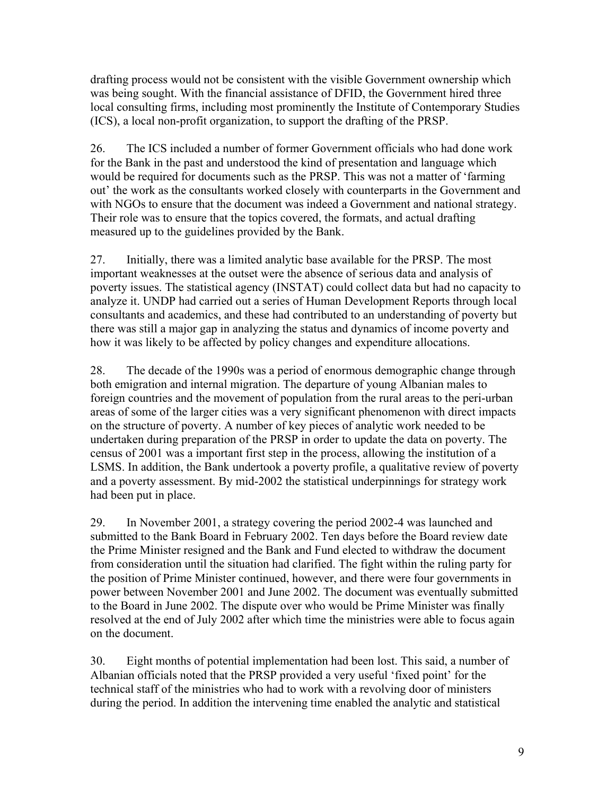drafting process would not be consistent with the visible Government ownership which was being sought. With the financial assistance of DFID, the Government hired three local consulting firms, including most prominently the Institute of Contemporary Studies (ICS), a local non-profit organization, to support the drafting of the PRSP.

26. The ICS included a number of former Government officials who had done work for the Bank in the past and understood the kind of presentation and language which would be required for documents such as the PRSP. This was not a matter of 'farming out' the work as the consultants worked closely with counterparts in the Government and with NGOs to ensure that the document was indeed a Government and national strategy. Their role was to ensure that the topics covered, the formats, and actual drafting measured up to the guidelines provided by the Bank.

27. Initially, there was a limited analytic base available for the PRSP. The most important weaknesses at the outset were the absence of serious data and analysis of poverty issues. The statistical agency (INSTAT) could collect data but had no capacity to analyze it. UNDP had carried out a series of Human Development Reports through local consultants and academics, and these had contributed to an understanding of poverty but there was still a major gap in analyzing the status and dynamics of income poverty and how it was likely to be affected by policy changes and expenditure allocations.

28. The decade of the 1990s was a period of enormous demographic change through both emigration and internal migration. The departure of young Albanian males to foreign countries and the movement of population from the rural areas to the peri-urban areas of some of the larger cities was a very significant phenomenon with direct impacts on the structure of poverty. A number of key pieces of analytic work needed to be undertaken during preparation of the PRSP in order to update the data on poverty. The census of 2001 was a important first step in the process, allowing the institution of a LSMS. In addition, the Bank undertook a poverty profile, a qualitative review of poverty and a poverty assessment. By mid-2002 the statistical underpinnings for strategy work had been put in place.

29. In November 2001, a strategy covering the period 2002-4 was launched and submitted to the Bank Board in February 2002. Ten days before the Board review date the Prime Minister resigned and the Bank and Fund elected to withdraw the document from consideration until the situation had clarified. The fight within the ruling party for the position of Prime Minister continued, however, and there were four governments in power between November 2001 and June 2002. The document was eventually submitted to the Board in June 2002. The dispute over who would be Prime Minister was finally resolved at the end of July 2002 after which time the ministries were able to focus again on the document.

30. Eight months of potential implementation had been lost. This said, a number of Albanian officials noted that the PRSP provided a very useful 'fixed point' for the technical staff of the ministries who had to work with a revolving door of ministers during the period. In addition the intervening time enabled the analytic and statistical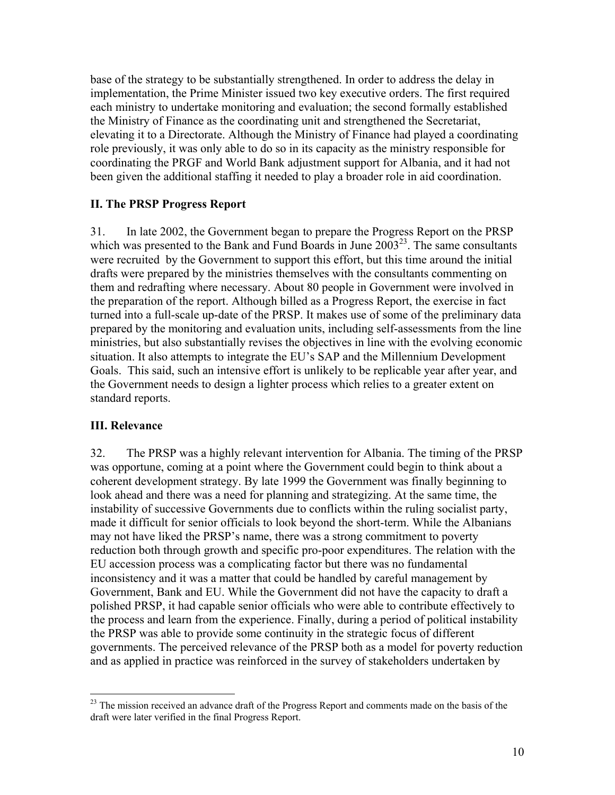base of the strategy to be substantially strengthened. In order to address the delay in implementation, the Prime Minister issued two key executive orders. The first required each ministry to undertake monitoring and evaluation; the second formally established the Ministry of Finance as the coordinating unit and strengthened the Secretariat, elevating it to a Directorate. Although the Ministry of Finance had played a coordinating role previously, it was only able to do so in its capacity as the ministry responsible for coordinating the PRGF and World Bank adjustment support for Albania, and it had not been given the additional staffing it needed to play a broader role in aid coordination.

### **II. The PRSP Progress Report**

31. In late 2002, the Government began to prepare the Progress Report on the PRSP which was presented to the Bank and Fund Boards in June  $2003^{23}$ . The same consultants were recruited by the Government to support this effort, but this time around the initial drafts were prepared by the ministries themselves with the consultants commenting on them and redrafting where necessary. About 80 people in Government were involved in the preparation of the report. Although billed as a Progress Report, the exercise in fact turned into a full-scale up-date of the PRSP. It makes use of some of the preliminary data prepared by the monitoring and evaluation units, including self-assessments from the line ministries, but also substantially revises the objectives in line with the evolving economic situation. It also attempts to integrate the EU's SAP and the Millennium Development Goals. This said, such an intensive effort is unlikely to be replicable year after year, and the Government needs to design a lighter process which relies to a greater extent on standard reports.

### **III. Relevance**

 $\overline{a}$ 

32. The PRSP was a highly relevant intervention for Albania. The timing of the PRSP was opportune, coming at a point where the Government could begin to think about a coherent development strategy. By late 1999 the Government was finally beginning to look ahead and there was a need for planning and strategizing. At the same time, the instability of successive Governments due to conflicts within the ruling socialist party, made it difficult for senior officials to look beyond the short-term. While the Albanians may not have liked the PRSP's name, there was a strong commitment to poverty reduction both through growth and specific pro-poor expenditures. The relation with the EU accession process was a complicating factor but there was no fundamental inconsistency and it was a matter that could be handled by careful management by Government, Bank and EU. While the Government did not have the capacity to draft a polished PRSP, it had capable senior officials who were able to contribute effectively to the process and learn from the experience. Finally, during a period of political instability the PRSP was able to provide some continuity in the strategic focus of different governments. The perceived relevance of the PRSP both as a model for poverty reduction and as applied in practice was reinforced in the survey of stakeholders undertaken by

<sup>&</sup>lt;sup>23</sup> The mission received an advance draft of the Progress Report and comments made on the basis of the draft were later verified in the final Progress Report.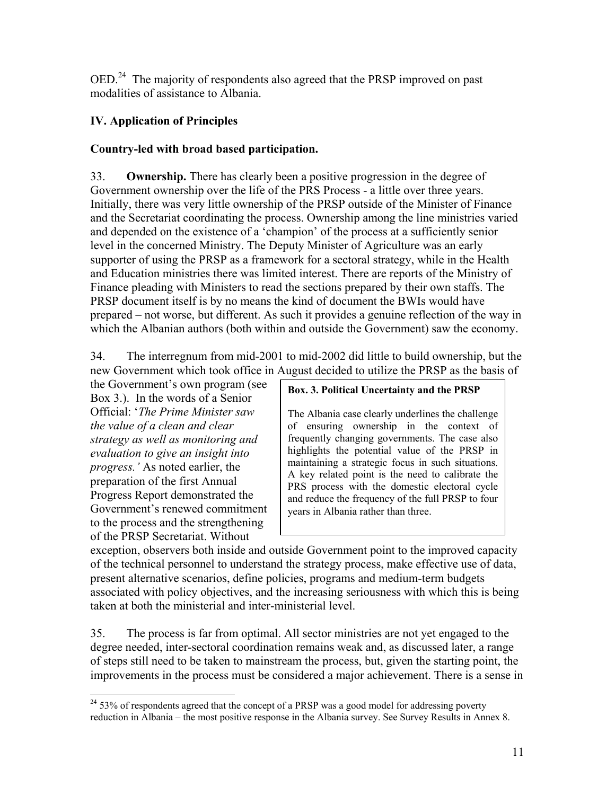OED.24 The majority of respondents also agreed that the PRSP improved on past modalities of assistance to Albania.

## **IV. Application of Principles**

## **Country-led with broad based participation.**

33. **Ownership.** There has clearly been a positive progression in the degree of Government ownership over the life of the PRS Process - a little over three years. Initially, there was very little ownership of the PRSP outside of the Minister of Finance and the Secretariat coordinating the process. Ownership among the line ministries varied and depended on the existence of a 'champion' of the process at a sufficiently senior level in the concerned Ministry. The Deputy Minister of Agriculture was an early supporter of using the PRSP as a framework for a sectoral strategy, while in the Health and Education ministries there was limited interest. There are reports of the Ministry of Finance pleading with Ministers to read the sections prepared by their own staffs. The PRSP document itself is by no means the kind of document the BWIs would have prepared – not worse, but different. As such it provides a genuine reflection of the way in which the Albanian authors (both within and outside the Government) saw the economy.

34. The interregnum from mid-2001 to mid-2002 did little to build ownership, but the new Government which took office in August decided to utilize the PRSP as the basis of

the Government's own program (see Box 3.). In the words of a Senior Official: '*The Prime Minister saw the value of a clean and clear strategy as well as monitoring and evaluation to give an insight into progress.'* As noted earlier, the preparation of the first Annual Progress Report demonstrated the Government's renewed commitment to the process and the strengthening of the PRSP Secretariat. Without

### **Box. 3. Political Uncertainty and the PRSP**

The Albania case clearly underlines the challenge of ensuring ownership in the context of frequently changing governments. The case also highlights the potential value of the PRSP in maintaining a strategic focus in such situations. A key related point is the need to calibrate the PRS process with the domestic electoral cycle and reduce the frequency of the full PRSP to four years in Albania rather than three.

exception, observers both inside and outside Government point to the improved capacity of the technical personnel to understand the strategy process, make effective use of data, present alternative scenarios, define policies, programs and medium-term budgets associated with policy objectives, and the increasing seriousness with which this is being taken at both the ministerial and inter-ministerial level.

35. The process is far from optimal. All sector ministries are not yet engaged to the degree needed, inter-sectoral coordination remains weak and, as discussed later, a range of steps still need to be taken to mainstream the process, but, given the starting point, the improvements in the process must be considered a major achievement. There is a sense in

 $\overline{a}$  $24$  53% of respondents agreed that the concept of a PRSP was a good model for addressing poverty reduction in Albania – the most positive response in the Albania survey. See Survey Results in Annex 8.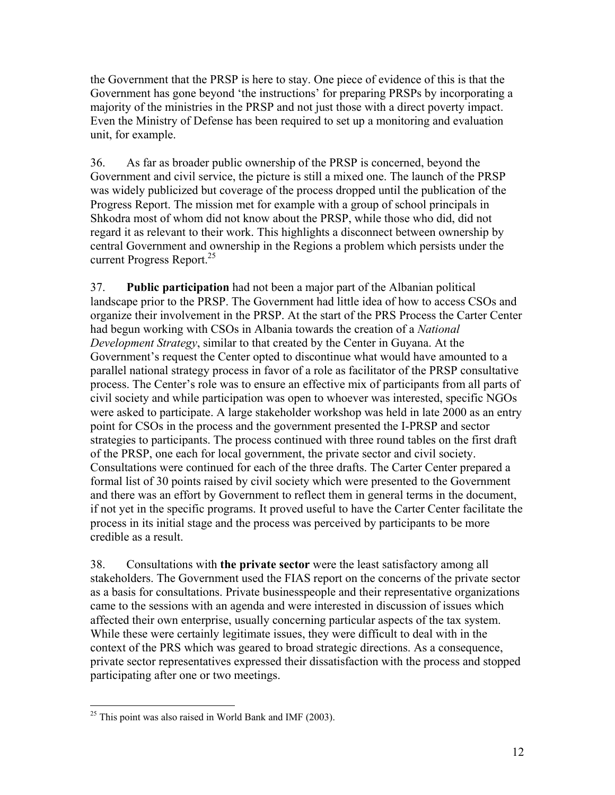the Government that the PRSP is here to stay. One piece of evidence of this is that the Government has gone beyond 'the instructions' for preparing PRSPs by incorporating a majority of the ministries in the PRSP and not just those with a direct poverty impact. Even the Ministry of Defense has been required to set up a monitoring and evaluation unit, for example.

36. As far as broader public ownership of the PRSP is concerned, beyond the Government and civil service, the picture is still a mixed one. The launch of the PRSP was widely publicized but coverage of the process dropped until the publication of the Progress Report. The mission met for example with a group of school principals in Shkodra most of whom did not know about the PRSP, while those who did, did not regard it as relevant to their work. This highlights a disconnect between ownership by central Government and ownership in the Regions a problem which persists under the current Progress Report.<sup>25</sup>

37. **Public participation** had not been a major part of the Albanian political landscape prior to the PRSP. The Government had little idea of how to access CSOs and organize their involvement in the PRSP. At the start of the PRS Process the Carter Center had begun working with CSOs in Albania towards the creation of a *National Development Strategy*, similar to that created by the Center in Guyana. At the Government's request the Center opted to discontinue what would have amounted to a parallel national strategy process in favor of a role as facilitator of the PRSP consultative process. The Center's role was to ensure an effective mix of participants from all parts of civil society and while participation was open to whoever was interested, specific NGOs were asked to participate. A large stakeholder workshop was held in late 2000 as an entry point for CSOs in the process and the government presented the I-PRSP and sector strategies to participants. The process continued with three round tables on the first draft of the PRSP, one each for local government, the private sector and civil society. Consultations were continued for each of the three drafts. The Carter Center prepared a formal list of 30 points raised by civil society which were presented to the Government and there was an effort by Government to reflect them in general terms in the document, if not yet in the specific programs. It proved useful to have the Carter Center facilitate the process in its initial stage and the process was perceived by participants to be more credible as a result.

38. Consultations with **the private sector** were the least satisfactory among all stakeholders. The Government used the FIAS report on the concerns of the private sector as a basis for consultations. Private businesspeople and their representative organizations came to the sessions with an agenda and were interested in discussion of issues which affected their own enterprise, usually concerning particular aspects of the tax system. While these were certainly legitimate issues, they were difficult to deal with in the context of the PRS which was geared to broad strategic directions. As a consequence, private sector representatives expressed their dissatisfaction with the process and stopped participating after one or two meetings.

 $\overline{a}$  $25$  This point was also raised in World Bank and IMF (2003).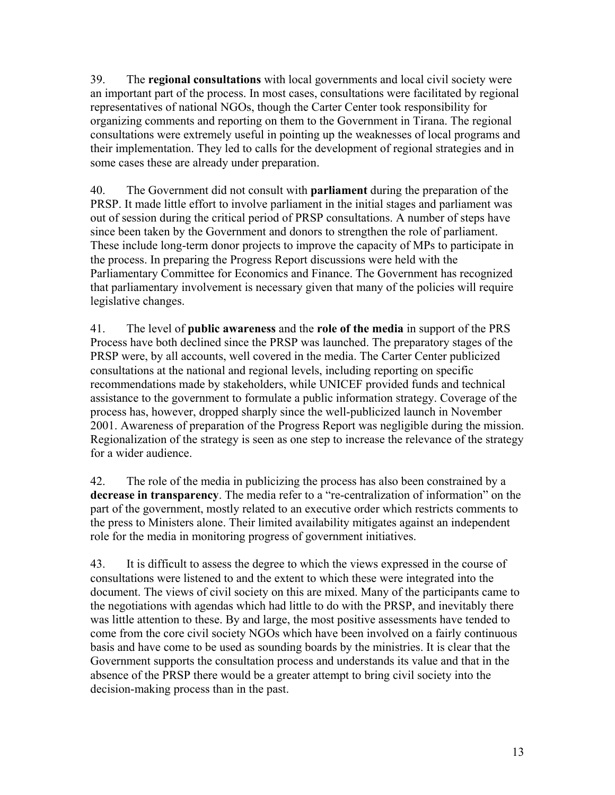39. The **regional consultations** with local governments and local civil society were an important part of the process. In most cases, consultations were facilitated by regional representatives of national NGOs, though the Carter Center took responsibility for organizing comments and reporting on them to the Government in Tirana. The regional consultations were extremely useful in pointing up the weaknesses of local programs and their implementation. They led to calls for the development of regional strategies and in some cases these are already under preparation.

40. The Government did not consult with **parliament** during the preparation of the PRSP. It made little effort to involve parliament in the initial stages and parliament was out of session during the critical period of PRSP consultations. A number of steps have since been taken by the Government and donors to strengthen the role of parliament. These include long-term donor projects to improve the capacity of MPs to participate in the process. In preparing the Progress Report discussions were held with the Parliamentary Committee for Economics and Finance. The Government has recognized that parliamentary involvement is necessary given that many of the policies will require legislative changes.

41. The level of **public awareness** and the **role of the media** in support of the PRS Process have both declined since the PRSP was launched. The preparatory stages of the PRSP were, by all accounts, well covered in the media. The Carter Center publicized consultations at the national and regional levels, including reporting on specific recommendations made by stakeholders, while UNICEF provided funds and technical assistance to the government to formulate a public information strategy. Coverage of the process has, however, dropped sharply since the well-publicized launch in November 2001. Awareness of preparation of the Progress Report was negligible during the mission. Regionalization of the strategy is seen as one step to increase the relevance of the strategy for a wider audience.

42. The role of the media in publicizing the process has also been constrained by a **decrease in transparency**. The media refer to a "re-centralization of information" on the part of the government, mostly related to an executive order which restricts comments to the press to Ministers alone. Their limited availability mitigates against an independent role for the media in monitoring progress of government initiatives.

43. It is difficult to assess the degree to which the views expressed in the course of consultations were listened to and the extent to which these were integrated into the document. The views of civil society on this are mixed. Many of the participants came to the negotiations with agendas which had little to do with the PRSP, and inevitably there was little attention to these. By and large, the most positive assessments have tended to come from the core civil society NGOs which have been involved on a fairly continuous basis and have come to be used as sounding boards by the ministries. It is clear that the Government supports the consultation process and understands its value and that in the absence of the PRSP there would be a greater attempt to bring civil society into the decision-making process than in the past.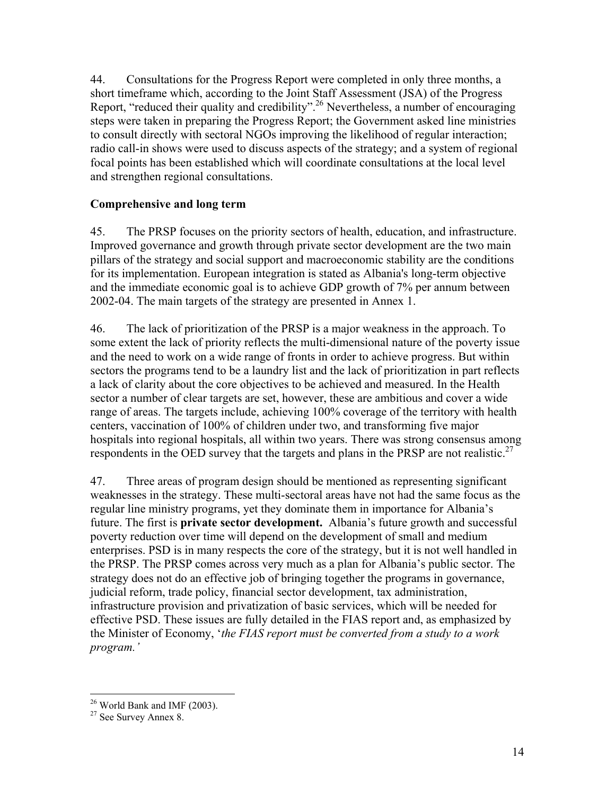44. Consultations for the Progress Report were completed in only three months, a short timeframe which, according to the Joint Staff Assessment (JSA) of the Progress Report, "reduced their quality and credibility".<sup>26</sup> Nevertheless, a number of encouraging steps were taken in preparing the Progress Report; the Government asked line ministries to consult directly with sectoral NGOs improving the likelihood of regular interaction; radio call-in shows were used to discuss aspects of the strategy; and a system of regional focal points has been established which will coordinate consultations at the local level and strengthen regional consultations.

### **Comprehensive and long term**

45. The PRSP focuses on the priority sectors of health, education, and infrastructure. Improved governance and growth through private sector development are the two main pillars of the strategy and social support and macroeconomic stability are the conditions for its implementation. European integration is stated as Albania's long-term objective and the immediate economic goal is to achieve GDP growth of 7% per annum between 2002-04. The main targets of the strategy are presented in Annex 1.

46. The lack of prioritization of the PRSP is a major weakness in the approach. To some extent the lack of priority reflects the multi-dimensional nature of the poverty issue and the need to work on a wide range of fronts in order to achieve progress. But within sectors the programs tend to be a laundry list and the lack of prioritization in part reflects a lack of clarity about the core objectives to be achieved and measured. In the Health sector a number of clear targets are set, however, these are ambitious and cover a wide range of areas. The targets include, achieving 100% coverage of the territory with health centers, vaccination of 100% of children under two, and transforming five major hospitals into regional hospitals, all within two years. There was strong consensus among respondents in the OED survey that the targets and plans in the PRSP are not realistic.<sup>27</sup>

47. Three areas of program design should be mentioned as representing significant weaknesses in the strategy. These multi-sectoral areas have not had the same focus as the regular line ministry programs, yet they dominate them in importance for Albania's future. The first is **private sector development.** Albania's future growth and successful poverty reduction over time will depend on the development of small and medium enterprises. PSD is in many respects the core of the strategy, but it is not well handled in the PRSP. The PRSP comes across very much as a plan for Albania's public sector. The strategy does not do an effective job of bringing together the programs in governance, judicial reform, trade policy, financial sector development, tax administration, infrastructure provision and privatization of basic services, which will be needed for effective PSD. These issues are fully detailed in the FIAS report and, as emphasized by the Minister of Economy, '*the FIAS report must be converted from a study to a work program.'* 

1

 $26$  World Bank and IMF (2003).

<sup>27</sup> See Survey Annex 8.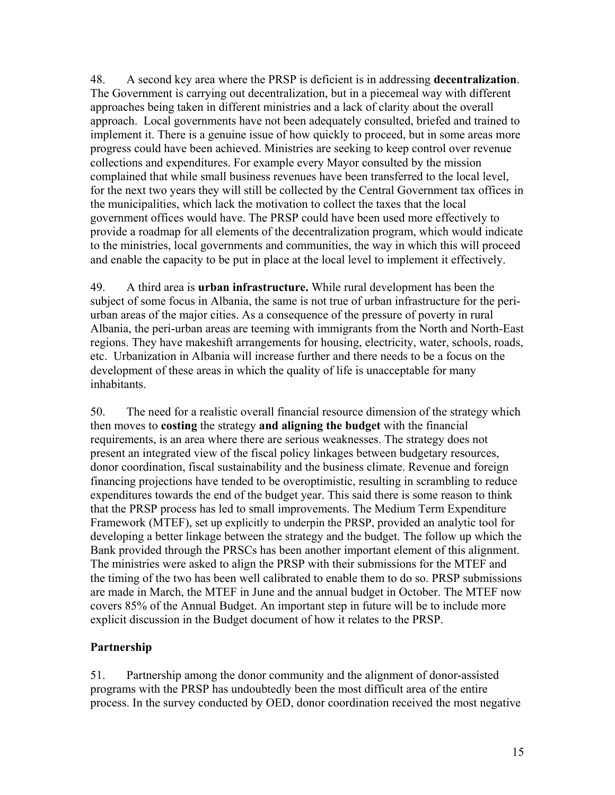48. A second key area where the PRSP is deficient is in addressing **decentralization**. The Government is carrying out decentralization, but in a piecemeal way with different approaches being taken in different ministries and a lack of clarity about the overall approach. Local governments have not been adequately consulted, briefed and trained to implement it. There is a genuine issue of how quickly to proceed, but in some areas more progress could have been achieved. Ministries are seeking to keep control over revenue collections and expenditures. For example every Mayor consulted by the mission complained that while small business revenues have been transferred to the local level, for the next two years they will still be collected by the Central Government tax offices in the municipalities, which lack the motivation to collect the taxes that the local government offices would have. The PRSP could have been used more effectively to provide a roadmap for all elements of the decentralization program, which would indicate to the ministries, local governments and communities, the way in which this will proceed and enable the capacity to be put in place at the local level to implement it effectively.

49. A third area is **urban infrastructure.** While rural development has been the subject of some focus in Albania, the same is not true of urban infrastructure for the periurban areas of the major cities. As a consequence of the pressure of poverty in rural Albania, the peri-urban areas are teeming with immigrants from the North and North-East regions. They have makeshift arrangements for housing, electricity, water, schools, roads, etc. Urbanization in Albania will increase further and there needs to be a focus on the development of these areas in which the quality of life is unacceptable for many inhabitants.

50. The need for a realistic overall financial resource dimension of the strategy which then moves to **costing** the strategy **and aligning the budget** with the financial requirements, is an area where there are serious weaknesses. The strategy does not present an integrated view of the fiscal policy linkages between budgetary resources, donor coordination, fiscal sustainability and the business climate. Revenue and foreign financing projections have tended to be overoptimistic, resulting in scrambling to reduce expenditures towards the end of the budget year. This said there is some reason to think that the PRSP process has led to small improvements. The Medium Term Expenditure Framework (MTEF), set up explicitly to underpin the PRSP, provided an analytic tool for developing a better linkage between the strategy and the budget. The follow up which the Bank provided through the PRSCs has been another important element of this alignment. The ministries were asked to align the PRSP with their submissions for the MTEF and the timing of the two has been well calibrated to enable them to do so. PRSP submissions are made in March, the MTEF in June and the annual budget in October. The MTEF now covers 85% of the Annual Budget. An important step in future will be to include more explicit discussion in the Budget document of how it relates to the PRSP.

## **Partnership**

51. Partnership among the donor community and the alignment of donor-assisted programs with the PRSP has undoubtedly been the most difficult area of the entire process. In the survey conducted by OED, donor coordination received the most negative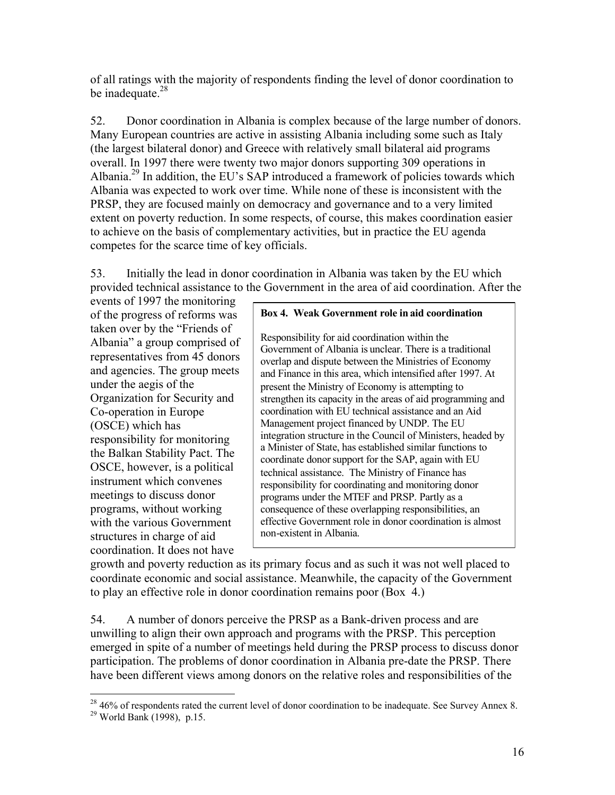of all ratings with the majority of respondents finding the level of donor coordination to be inadequate.<sup>28</sup>

52. Donor coordination in Albania is complex because of the large number of donors. Many European countries are active in assisting Albania including some such as Italy (the largest bilateral donor) and Greece with relatively small bilateral aid programs overall. In 1997 there were twenty two major donors supporting 309 operations in Albania.<sup>29</sup> In addition, the EU's SAP introduced a framework of policies towards which Albania was expected to work over time. While none of these is inconsistent with the PRSP, they are focused mainly on democracy and governance and to a very limited extent on poverty reduction. In some respects, of course, this makes coordination easier to achieve on the basis of complementary activities, but in practice the EU agenda competes for the scarce time of key officials.

53. Initially the lead in donor coordination in Albania was taken by the EU which provided technical assistance to the Government in the area of aid coordination. After the

events of 1997 the monitoring of the progress of reforms was taken over by the "Friends of Albania" a group comprised of representatives from 45 donors and agencies. The group meets under the aegis of the Organization for Security and Co-operation in Europe (OSCE) which has responsibility for monitoring the Balkan Stability Pact. The OSCE, however, is a political instrument which convenes meetings to discuss donor programs, without working with the various Government structures in charge of aid coordination. It does not have

#### **Box 4. Weak Government role in aid coordination**

Responsibility for aid coordination within the Government of Albania is unclear. There is a traditional overlap and dispute between the Ministries of Economy and Finance in this area, which intensified after 1997. At present the Ministry of Economy is attempting to strengthen its capacity in the areas of aid programming and coordination with EU technical assistance and an Aid Management project financed by UNDP. The EU integration structure in the Council of Ministers, headed by a Minister of State, has established similar functions to coordinate donor support for the SAP, again with EU technical assistance. The Ministry of Finance has responsibility for coordinating and monitoring donor programs under the MTEF and PRSP. Partly as a consequence of these overlapping responsibilities, an effective Government role in donor coordination is almost non-existent in Albania.

growth and poverty reduction as its primary focus and as such it was not well placed to coordinate economic and social assistance. Meanwhile, the capacity of the Government to play an effective role in donor coordination remains poor (Box 4.)

54. A number of donors perceive the PRSP as a Bank-driven process and are unwilling to align their own approach and programs with the PRSP. This perception emerged in spite of a number of meetings held during the PRSP process to discuss donor participation. The problems of donor coordination in Albania pre-date the PRSP. There have been different views among donors on the relative roles and responsibilities of the

 $\overline{a}$ 

 $28\,46\%$  of respondents rated the current level of donor coordination to be inadequate. See Survey Annex 8.

<sup>29</sup> World Bank (1998), p.15.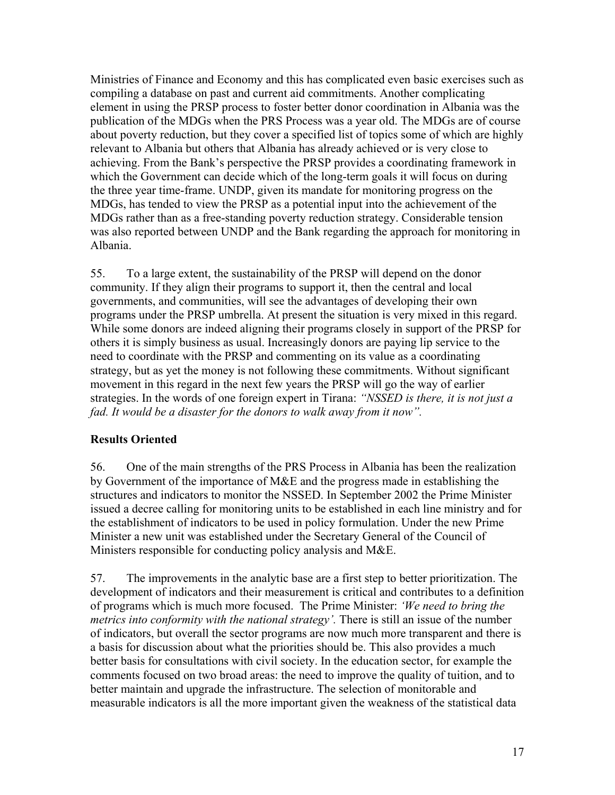Ministries of Finance and Economy and this has complicated even basic exercises such as compiling a database on past and current aid commitments. Another complicating element in using the PRSP process to foster better donor coordination in Albania was the publication of the MDGs when the PRS Process was a year old. The MDGs are of course about poverty reduction, but they cover a specified list of topics some of which are highly relevant to Albania but others that Albania has already achieved or is very close to achieving. From the Bank's perspective the PRSP provides a coordinating framework in which the Government can decide which of the long-term goals it will focus on during the three year time-frame. UNDP, given its mandate for monitoring progress on the MDGs, has tended to view the PRSP as a potential input into the achievement of the MDGs rather than as a free-standing poverty reduction strategy. Considerable tension was also reported between UNDP and the Bank regarding the approach for monitoring in Albania.

55. To a large extent, the sustainability of the PRSP will depend on the donor community. If they align their programs to support it, then the central and local governments, and communities, will see the advantages of developing their own programs under the PRSP umbrella. At present the situation is very mixed in this regard. While some donors are indeed aligning their programs closely in support of the PRSP for others it is simply business as usual. Increasingly donors are paying lip service to the need to coordinate with the PRSP and commenting on its value as a coordinating strategy, but as yet the money is not following these commitments. Without significant movement in this regard in the next few years the PRSP will go the way of earlier strategies. In the words of one foreign expert in Tirana: *"NSSED is there, it is not just a fad. It would be a disaster for the donors to walk away from it now".*

### **Results Oriented**

56. One of the main strengths of the PRS Process in Albania has been the realization by Government of the importance of M&E and the progress made in establishing the structures and indicators to monitor the NSSED. In September 2002 the Prime Minister issued a decree calling for monitoring units to be established in each line ministry and for the establishment of indicators to be used in policy formulation. Under the new Prime Minister a new unit was established under the Secretary General of the Council of Ministers responsible for conducting policy analysis and M&E.

57. The improvements in the analytic base are a first step to better prioritization. The development of indicators and their measurement is critical and contributes to a definition of programs which is much more focused. The Prime Minister: *'We need to bring the metrics into conformity with the national strategy'*. There is still an issue of the number of indicators, but overall the sector programs are now much more transparent and there is a basis for discussion about what the priorities should be. This also provides a much better basis for consultations with civil society. In the education sector, for example the comments focused on two broad areas: the need to improve the quality of tuition, and to better maintain and upgrade the infrastructure. The selection of monitorable and measurable indicators is all the more important given the weakness of the statistical data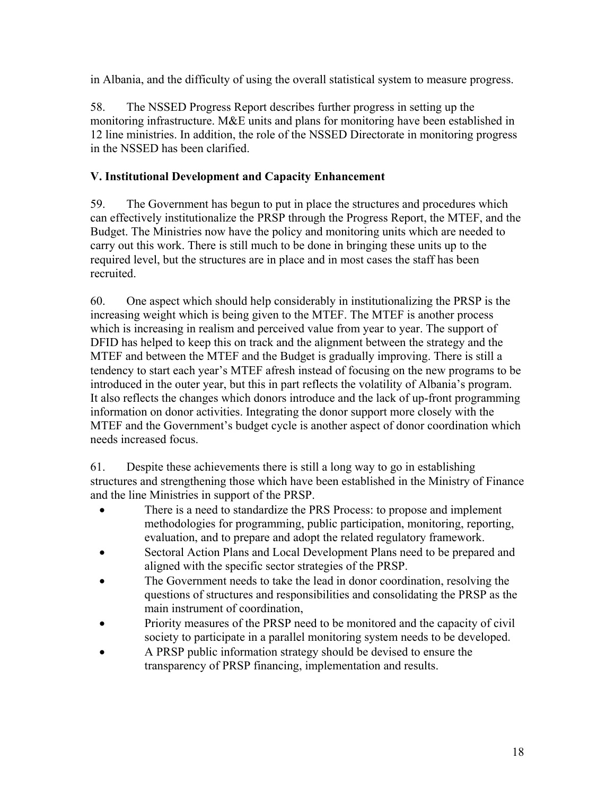in Albania, and the difficulty of using the overall statistical system to measure progress.

58. The NSSED Progress Report describes further progress in setting up the monitoring infrastructure. M&E units and plans for monitoring have been established in 12 line ministries. In addition, the role of the NSSED Directorate in monitoring progress in the NSSED has been clarified.

## **V. Institutional Development and Capacity Enhancement**

59. The Government has begun to put in place the structures and procedures which can effectively institutionalize the PRSP through the Progress Report, the MTEF, and the Budget. The Ministries now have the policy and monitoring units which are needed to carry out this work. There is still much to be done in bringing these units up to the required level, but the structures are in place and in most cases the staff has been recruited.

60. One aspect which should help considerably in institutionalizing the PRSP is the increasing weight which is being given to the MTEF. The MTEF is another process which is increasing in realism and perceived value from year to year. The support of DFID has helped to keep this on track and the alignment between the strategy and the MTEF and between the MTEF and the Budget is gradually improving. There is still a tendency to start each year's MTEF afresh instead of focusing on the new programs to be introduced in the outer year, but this in part reflects the volatility of Albania's program. It also reflects the changes which donors introduce and the lack of up-front programming information on donor activities. Integrating the donor support more closely with the MTEF and the Government's budget cycle is another aspect of donor coordination which needs increased focus.

61. Despite these achievements there is still a long way to go in establishing structures and strengthening those which have been established in the Ministry of Finance and the line Ministries in support of the PRSP.

- There is a need to standardize the PRS Process: to propose and implement methodologies for programming, public participation, monitoring, reporting, evaluation, and to prepare and adopt the related regulatory framework.
- Sectoral Action Plans and Local Development Plans need to be prepared and aligned with the specific sector strategies of the PRSP.
- The Government needs to take the lead in donor coordination, resolving the questions of structures and responsibilities and consolidating the PRSP as the main instrument of coordination,
- Priority measures of the PRSP need to be monitored and the capacity of civil society to participate in a parallel monitoring system needs to be developed.
- A PRSP public information strategy should be devised to ensure the transparency of PRSP financing, implementation and results.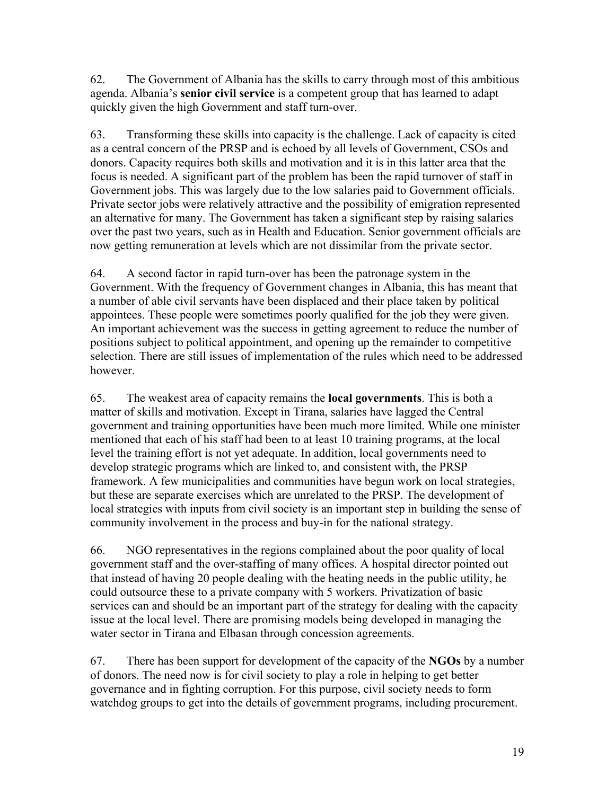62. The Government of Albania has the skills to carry through most of this ambitious agenda. Albania's **senior civil service** is a competent group that has learned to adapt quickly given the high Government and staff turn-over.

63. Transforming these skills into capacity is the challenge. Lack of capacity is cited as a central concern of the PRSP and is echoed by all levels of Government, CSOs and donors. Capacity requires both skills and motivation and it is in this latter area that the focus is needed. A significant part of the problem has been the rapid turnover of staff in Government jobs. This was largely due to the low salaries paid to Government officials. Private sector jobs were relatively attractive and the possibility of emigration represented an alternative for many. The Government has taken a significant step by raising salaries over the past two years, such as in Health and Education. Senior government officials are now getting remuneration at levels which are not dissimilar from the private sector.

64. A second factor in rapid turn-over has been the patronage system in the Government. With the frequency of Government changes in Albania, this has meant that a number of able civil servants have been displaced and their place taken by political appointees. These people were sometimes poorly qualified for the job they were given. An important achievement was the success in getting agreement to reduce the number of positions subject to political appointment, and opening up the remainder to competitive selection. There are still issues of implementation of the rules which need to be addressed however.

65. The weakest area of capacity remains the **local governments**. This is both a matter of skills and motivation. Except in Tirana, salaries have lagged the Central government and training opportunities have been much more limited. While one minister mentioned that each of his staff had been to at least 10 training programs, at the local level the training effort is not yet adequate. In addition, local governments need to develop strategic programs which are linked to, and consistent with, the PRSP framework. A few municipalities and communities have begun work on local strategies, but these are separate exercises which are unrelated to the PRSP. The development of local strategies with inputs from civil society is an important step in building the sense of community involvement in the process and buy-in for the national strategy.

66. NGO representatives in the regions complained about the poor quality of local government staff and the over-staffing of many offices. A hospital director pointed out that instead of having 20 people dealing with the heating needs in the public utility, he could outsource these to a private company with 5 workers. Privatization of basic services can and should be an important part of the strategy for dealing with the capacity issue at the local level. There are promising models being developed in managing the water sector in Tirana and Elbasan through concession agreements.

67. There has been support for development of the capacity of the **NGOs** by a number of donors. The need now is for civil society to play a role in helping to get better governance and in fighting corruption. For this purpose, civil society needs to form watchdog groups to get into the details of government programs, including procurement.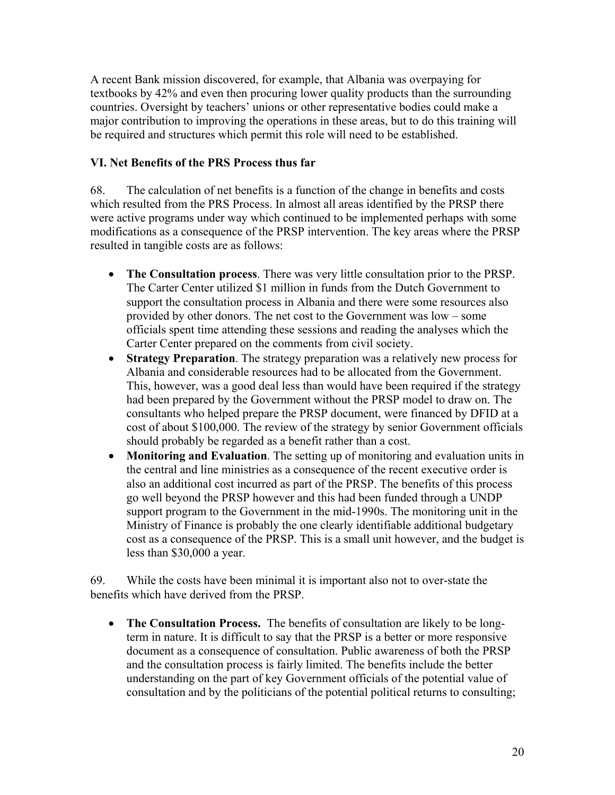A recent Bank mission discovered, for example, that Albania was overpaying for textbooks by 42% and even then procuring lower quality products than the surrounding countries. Oversight by teachers' unions or other representative bodies could make a major contribution to improving the operations in these areas, but to do this training will be required and structures which permit this role will need to be established.

## **VI. Net Benefits of the PRS Process thus far**

68. The calculation of net benefits is a function of the change in benefits and costs which resulted from the PRS Process. In almost all areas identified by the PRSP there were active programs under way which continued to be implemented perhaps with some modifications as a consequence of the PRSP intervention. The key areas where the PRSP resulted in tangible costs are as follows:

- **The Consultation process**. There was very little consultation prior to the PRSP. The Carter Center utilized \$1 million in funds from the Dutch Government to support the consultation process in Albania and there were some resources also provided by other donors. The net cost to the Government was low – some officials spent time attending these sessions and reading the analyses which the Carter Center prepared on the comments from civil society.
- **Strategy Preparation**. The strategy preparation was a relatively new process for Albania and considerable resources had to be allocated from the Government. This, however, was a good deal less than would have been required if the strategy had been prepared by the Government without the PRSP model to draw on. The consultants who helped prepare the PRSP document, were financed by DFID at a cost of about \$100,000. The review of the strategy by senior Government officials should probably be regarded as a benefit rather than a cost.
- **Monitoring and Evaluation**. The setting up of monitoring and evaluation units in the central and line ministries as a consequence of the recent executive order is also an additional cost incurred as part of the PRSP. The benefits of this process go well beyond the PRSP however and this had been funded through a UNDP support program to the Government in the mid-1990s. The monitoring unit in the Ministry of Finance is probably the one clearly identifiable additional budgetary cost as a consequence of the PRSP. This is a small unit however, and the budget is less than \$30,000 a year.

69. While the costs have been minimal it is important also not to over-state the benefits which have derived from the PRSP.

• **The Consultation Process.** The benefits of consultation are likely to be longterm in nature. It is difficult to say that the PRSP is a better or more responsive document as a consequence of consultation. Public awareness of both the PRSP and the consultation process is fairly limited. The benefits include the better understanding on the part of key Government officials of the potential value of consultation and by the politicians of the potential political returns to consulting;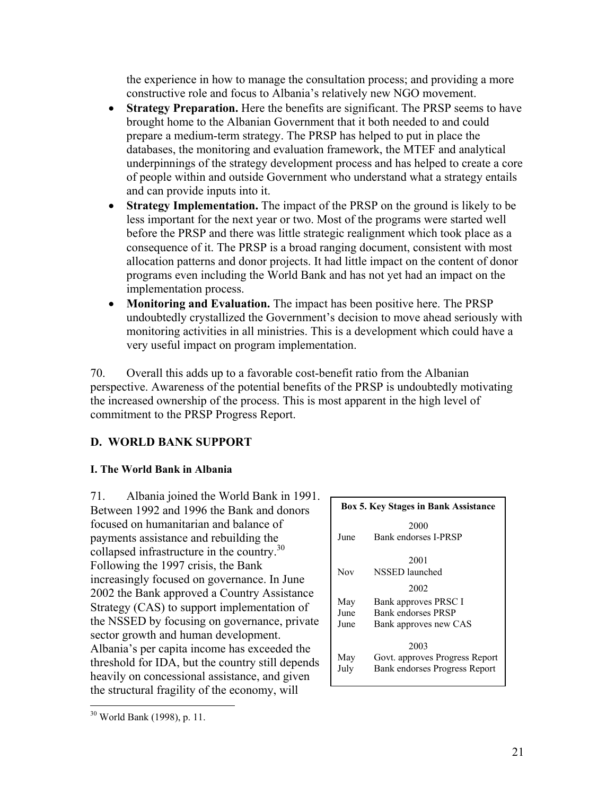the experience in how to manage the consultation process; and providing a more constructive role and focus to Albania's relatively new NGO movement.

- **Strategy Preparation.** Here the benefits are significant. The PRSP seems to have brought home to the Albanian Government that it both needed to and could prepare a medium-term strategy. The PRSP has helped to put in place the databases, the monitoring and evaluation framework, the MTEF and analytical underpinnings of the strategy development process and has helped to create a core of people within and outside Government who understand what a strategy entails and can provide inputs into it.
- **Strategy Implementation.** The impact of the PRSP on the ground is likely to be less important for the next year or two. Most of the programs were started well before the PRSP and there was little strategic realignment which took place as a consequence of it. The PRSP is a broad ranging document, consistent with most allocation patterns and donor projects. It had little impact on the content of donor programs even including the World Bank and has not yet had an impact on the implementation process.
- **Monitoring and Evaluation.** The impact has been positive here. The PRSP undoubtedly crystallized the Government's decision to move ahead seriously with monitoring activities in all ministries. This is a development which could have a very useful impact on program implementation.

70. Overall this adds up to a favorable cost-benefit ratio from the Albanian perspective. Awareness of the potential benefits of the PRSP is undoubtedly motivating the increased ownership of the process. This is most apparent in the high level of commitment to the PRSP Progress Report.

## **D. WORLD BANK SUPPORT**

## **I. The World Bank in Albania**

71. Albania joined the World Bank in 1991. Between 1992 and 1996 the Bank and donors focused on humanitarian and balance of payments assistance and rebuilding the collapsed infrastructure in the country.<sup>30</sup> Following the 1997 crisis, the Bank increasingly focused on governance. In June 2002 the Bank approved a Country Assistance Strategy (CAS) to support implementation of the NSSED by focusing on governance, private sector growth and human development. Albania's per capita income has exceeded the threshold for IDA, but the country still depends heavily on concessional assistance, and given the structural fragility of the economy, will

|      | <b>Box 5. Key Stages in Bank Assistance</b> |  |  |  |  |
|------|---------------------------------------------|--|--|--|--|
|      | 2000                                        |  |  |  |  |
| June | Bank endorses I-PRSP                        |  |  |  |  |
|      | 2001                                        |  |  |  |  |
| Nov  | NSSED launched                              |  |  |  |  |
|      | 2002                                        |  |  |  |  |
| May  | Bank approves PRSC I                        |  |  |  |  |
| June | Bank endorses PRSP                          |  |  |  |  |
| June | Bank approves new CAS                       |  |  |  |  |
|      | 2003                                        |  |  |  |  |
| May  | Govt. approves Progress Report              |  |  |  |  |
| July | Bank endorses Progress Report               |  |  |  |  |

<sup>&</sup>lt;u>.</u>  $30$  World Bank (1998), p. 11.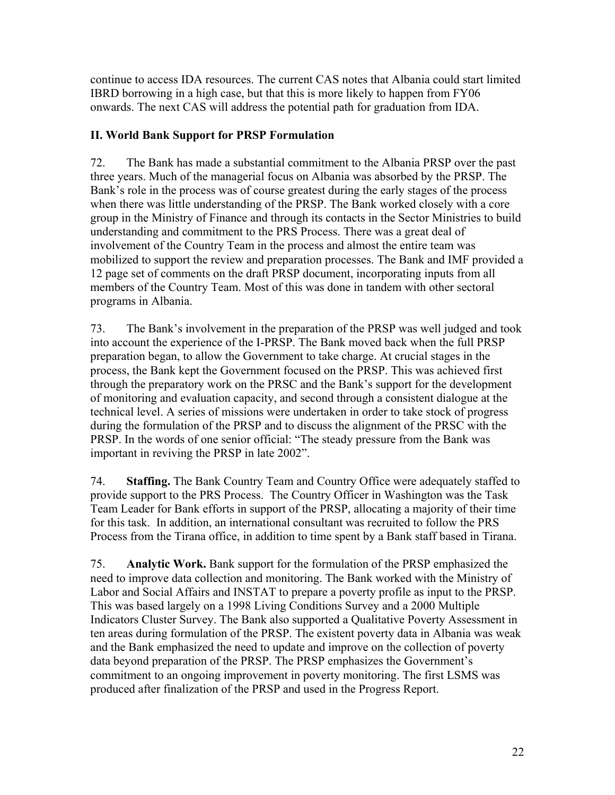continue to access IDA resources. The current CAS notes that Albania could start limited IBRD borrowing in a high case, but that this is more likely to happen from FY06 onwards. The next CAS will address the potential path for graduation from IDA.

## **II. World Bank Support for PRSP Formulation**

72. The Bank has made a substantial commitment to the Albania PRSP over the past three years. Much of the managerial focus on Albania was absorbed by the PRSP. The Bank's role in the process was of course greatest during the early stages of the process when there was little understanding of the PRSP. The Bank worked closely with a core group in the Ministry of Finance and through its contacts in the Sector Ministries to build understanding and commitment to the PRS Process. There was a great deal of involvement of the Country Team in the process and almost the entire team was mobilized to support the review and preparation processes. The Bank and IMF provided a 12 page set of comments on the draft PRSP document, incorporating inputs from all members of the Country Team. Most of this was done in tandem with other sectoral programs in Albania.

73. The Bank's involvement in the preparation of the PRSP was well judged and took into account the experience of the I-PRSP. The Bank moved back when the full PRSP preparation began, to allow the Government to take charge. At crucial stages in the process, the Bank kept the Government focused on the PRSP. This was achieved first through the preparatory work on the PRSC and the Bank's support for the development of monitoring and evaluation capacity, and second through a consistent dialogue at the technical level. A series of missions were undertaken in order to take stock of progress during the formulation of the PRSP and to discuss the alignment of the PRSC with the PRSP. In the words of one senior official: "The steady pressure from the Bank was important in reviving the PRSP in late 2002".

74. **Staffing.** The Bank Country Team and Country Office were adequately staffed to provide support to the PRS Process. The Country Officer in Washington was the Task Team Leader for Bank efforts in support of the PRSP, allocating a majority of their time for this task. In addition, an international consultant was recruited to follow the PRS Process from the Tirana office, in addition to time spent by a Bank staff based in Tirana.

75. **Analytic Work.** Bank support for the formulation of the PRSP emphasized the need to improve data collection and monitoring. The Bank worked with the Ministry of Labor and Social Affairs and INSTAT to prepare a poverty profile as input to the PRSP. This was based largely on a 1998 Living Conditions Survey and a 2000 Multiple Indicators Cluster Survey. The Bank also supported a Qualitative Poverty Assessment in ten areas during formulation of the PRSP. The existent poverty data in Albania was weak and the Bank emphasized the need to update and improve on the collection of poverty data beyond preparation of the PRSP. The PRSP emphasizes the Government's commitment to an ongoing improvement in poverty monitoring. The first LSMS was produced after finalization of the PRSP and used in the Progress Report.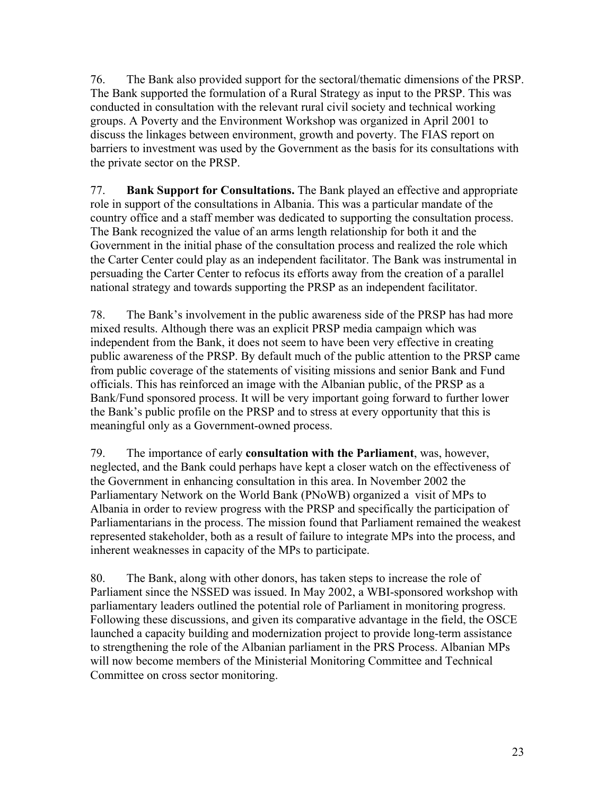76. The Bank also provided support for the sectoral/thematic dimensions of the PRSP. The Bank supported the formulation of a Rural Strategy as input to the PRSP. This was conducted in consultation with the relevant rural civil society and technical working groups. A Poverty and the Environment Workshop was organized in April 2001 to discuss the linkages between environment, growth and poverty. The FIAS report on barriers to investment was used by the Government as the basis for its consultations with the private sector on the PRSP.

77. **Bank Support for Consultations.** The Bank played an effective and appropriate role in support of the consultations in Albania. This was a particular mandate of the country office and a staff member was dedicated to supporting the consultation process. The Bank recognized the value of an arms length relationship for both it and the Government in the initial phase of the consultation process and realized the role which the Carter Center could play as an independent facilitator. The Bank was instrumental in persuading the Carter Center to refocus its efforts away from the creation of a parallel national strategy and towards supporting the PRSP as an independent facilitator.

78. The Bank's involvement in the public awareness side of the PRSP has had more mixed results. Although there was an explicit PRSP media campaign which was independent from the Bank, it does not seem to have been very effective in creating public awareness of the PRSP. By default much of the public attention to the PRSP came from public coverage of the statements of visiting missions and senior Bank and Fund officials. This has reinforced an image with the Albanian public, of the PRSP as a Bank/Fund sponsored process. It will be very important going forward to further lower the Bank's public profile on the PRSP and to stress at every opportunity that this is meaningful only as a Government-owned process.

79. The importance of early **consultation with the Parliament**, was, however, neglected, and the Bank could perhaps have kept a closer watch on the effectiveness of the Government in enhancing consultation in this area. In November 2002 the Parliamentary Network on the World Bank (PNoWB) organized a visit of MPs to Albania in order to review progress with the PRSP and specifically the participation of Parliamentarians in the process. The mission found that Parliament remained the weakest represented stakeholder, both as a result of failure to integrate MPs into the process, and inherent weaknesses in capacity of the MPs to participate.

80. The Bank, along with other donors, has taken steps to increase the role of Parliament since the NSSED was issued. In May 2002, a WBI-sponsored workshop with parliamentary leaders outlined the potential role of Parliament in monitoring progress. Following these discussions, and given its comparative advantage in the field, the OSCE launched a capacity building and modernization project to provide long-term assistance to strengthening the role of the Albanian parliament in the PRS Process. Albanian MPs will now become members of the Ministerial Monitoring Committee and Technical Committee on cross sector monitoring.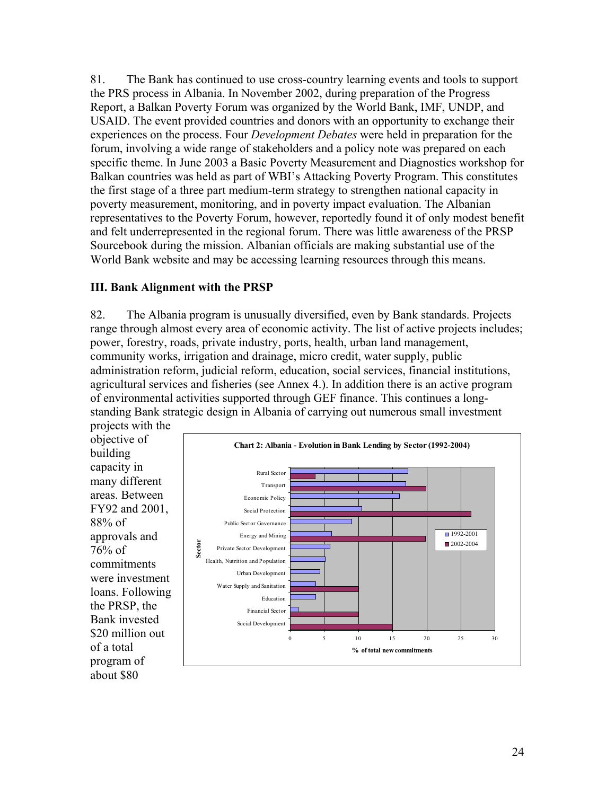81. The Bank has continued to use cross-country learning events and tools to support the PRS process in Albania. In November 2002, during preparation of the Progress Report, a Balkan Poverty Forum was organized by the World Bank, IMF, UNDP, and USAID. The event provided countries and donors with an opportunity to exchange their experiences on the process. Four *Development Debates* were held in preparation for the forum, involving a wide range of stakeholders and a policy note was prepared on each specific theme. In June 2003 a Basic Poverty Measurement and Diagnostics workshop for Balkan countries was held as part of WBI's Attacking Poverty Program. This constitutes the first stage of a three part medium-term strategy to strengthen national capacity in poverty measurement, monitoring, and in poverty impact evaluation. The Albanian representatives to the Poverty Forum, however, reportedly found it of only modest benefit and felt underrepresented in the regional forum. There was little awareness of the PRSP Sourcebook during the mission. Albanian officials are making substantial use of the World Bank website and may be accessing learning resources through this means.

### **III. Bank Alignment with the PRSP**

82. The Albania program is unusually diversified, even by Bank standards. Projects range through almost every area of economic activity. The list of active projects includes; power, forestry, roads, private industry, ports, health, urban land management, community works, irrigation and drainage, micro credit, water supply, public administration reform, judicial reform, education, social services, financial institutions, agricultural services and fisheries (see Annex 4.). In addition there is an active program of environmental activities supported through GEF finance. This continues a longstanding Bank strategic design in Albania of carrying out numerous small investment projects with the

objective of building capacity in many different areas. Between FY92 and 2001, 88% of approvals and 76% of commitments were investment loans. Following the PRSP, the Bank invested \$20 million out of a total program of about \$80

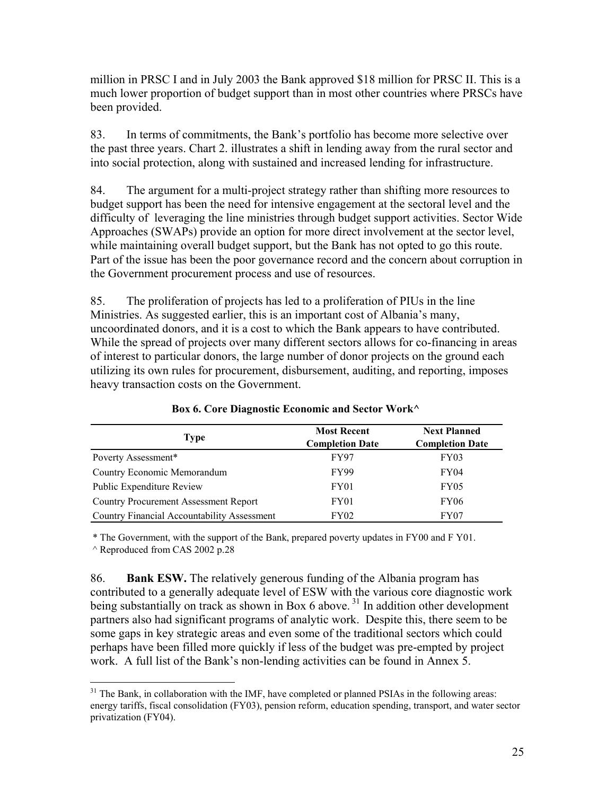million in PRSC I and in July 2003 the Bank approved \$18 million for PRSC II. This is a much lower proportion of budget support than in most other countries where PRSCs have been provided.

83. In terms of commitments, the Bank's portfolio has become more selective over the past three years. Chart 2. illustrates a shift in lending away from the rural sector and into social protection, along with sustained and increased lending for infrastructure.

84. The argument for a multi-project strategy rather than shifting more resources to budget support has been the need for intensive engagement at the sectoral level and the difficulty of leveraging the line ministries through budget support activities. Sector Wide Approaches (SWAPs) provide an option for more direct involvement at the sector level, while maintaining overall budget support, but the Bank has not opted to go this route. Part of the issue has been the poor governance record and the concern about corruption in the Government procurement process and use of resources.

85. The proliferation of projects has led to a proliferation of PIUs in the line Ministries. As suggested earlier, this is an important cost of Albania's many, uncoordinated donors, and it is a cost to which the Bank appears to have contributed. While the spread of projects over many different sectors allows for co-financing in areas of interest to particular donors, the large number of donor projects on the ground each utilizing its own rules for procurement, disbursement, auditing, and reporting, imposes heavy transaction costs on the Government.

| Type                                               | <b>Most Recent</b><br><b>Completion Date</b> | <b>Next Planned</b><br><b>Completion Date</b> |
|----------------------------------------------------|----------------------------------------------|-----------------------------------------------|
| Poverty Assessment*                                | <b>FY97</b>                                  | FY03                                          |
| Country Economic Memorandum                        | <b>FY99</b>                                  | FY <sub>04</sub>                              |
| Public Expenditure Review                          | FY <sub>01</sub>                             | FY <sub>05</sub>                              |
| Country Procurement Assessment Report              | FY <sub>01</sub>                             | <b>FY06</b>                                   |
| <b>Country Financial Accountability Assessment</b> | <b>FY02</b>                                  | FY07                                          |

**Box 6. Core Diagnostic Economic and Sector Work^** 

^ Reproduced from CAS 2002 p.28 \* The Government, with the support of the Bank, prepared poverty updates in FY00 and F Y01.

86. **Bank ESW.** The relatively generous funding of the Albania program has contributed to a generally adequate level of ESW with the various core diagnostic work being substantially on track as shown in Box 6 above.<sup>31</sup> In addition other development partners also had significant programs of analytic work. Despite this, there seem to be some gaps in key strategic areas and even some of the traditional sectors which could perhaps have been filled more quickly if less of the budget was pre-empted by project work. A full list of the Bank's non-lending activities can be found in Annex 5.

 $\overline{a}$  $31$  The Bank, in collaboration with the IMF, have completed or planned PSIAs in the following areas: energy tariffs, fiscal consolidation (FY03), pension reform, education spending, transport, and water sector privatization (FY04).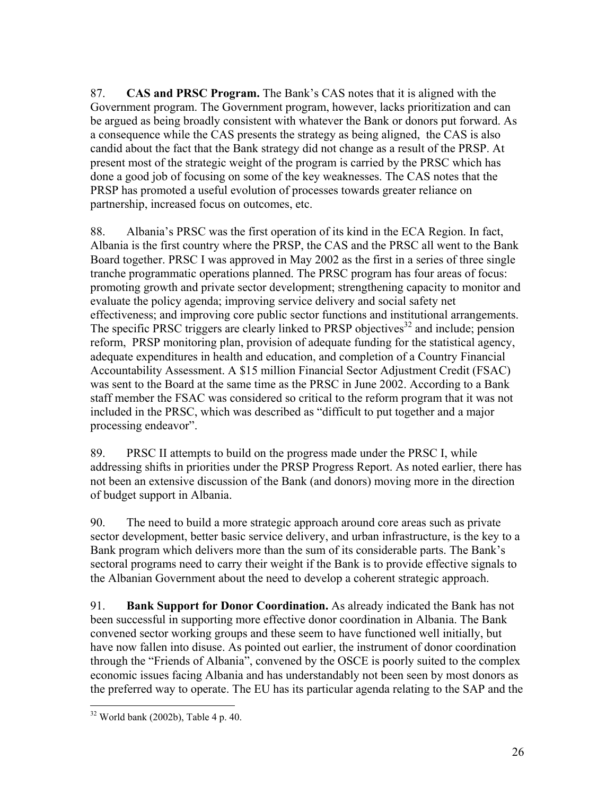87. **CAS and PRSC Program.** The Bank's CAS notes that it is aligned with the Government program. The Government program, however, lacks prioritization and can be argued as being broadly consistent with whatever the Bank or donors put forward. As a consequence while the CAS presents the strategy as being aligned, the CAS is also candid about the fact that the Bank strategy did not change as a result of the PRSP. At present most of the strategic weight of the program is carried by the PRSC which has done a good job of focusing on some of the key weaknesses. The CAS notes that the PRSP has promoted a useful evolution of processes towards greater reliance on partnership, increased focus on outcomes, etc.

88. Albania's PRSC was the first operation of its kind in the ECA Region. In fact, Albania is the first country where the PRSP, the CAS and the PRSC all went to the Bank Board together. PRSC I was approved in May 2002 as the first in a series of three single tranche programmatic operations planned. The PRSC program has four areas of focus: promoting growth and private sector development; strengthening capacity to monitor and evaluate the policy agenda; improving service delivery and social safety net effectiveness; and improving core public sector functions and institutional arrangements. The specific PRSC triggers are clearly linked to PRSP objectives<sup>32</sup> and include; pension reform, PRSP monitoring plan, provision of adequate funding for the statistical agency, adequate expenditures in health and education, and completion of a Country Financial Accountability Assessment. A \$15 million Financial Sector Adjustment Credit (FSAC) was sent to the Board at the same time as the PRSC in June 2002. According to a Bank staff member the FSAC was considered so critical to the reform program that it was not included in the PRSC, which was described as "difficult to put together and a major processing endeavor".

89. PRSC II attempts to build on the progress made under the PRSC I, while addressing shifts in priorities under the PRSP Progress Report. As noted earlier, there has not been an extensive discussion of the Bank (and donors) moving more in the direction of budget support in Albania.

90. The need to build a more strategic approach around core areas such as private sector development, better basic service delivery, and urban infrastructure, is the key to a Bank program which delivers more than the sum of its considerable parts. The Bank's sectoral programs need to carry their weight if the Bank is to provide effective signals to the Albanian Government about the need to develop a coherent strategic approach.

91. **Bank Support for Donor Coordination.** As already indicated the Bank has not been successful in supporting more effective donor coordination in Albania. The Bank convened sector working groups and these seem to have functioned well initially, but have now fallen into disuse. As pointed out earlier, the instrument of donor coordination through the "Friends of Albania", convened by the OSCE is poorly suited to the complex economic issues facing Albania and has understandably not been seen by most donors as the preferred way to operate. The EU has its particular agenda relating to the SAP and the

 $\overline{a}$  $32$  World bank (2002b), Table 4 p. 40.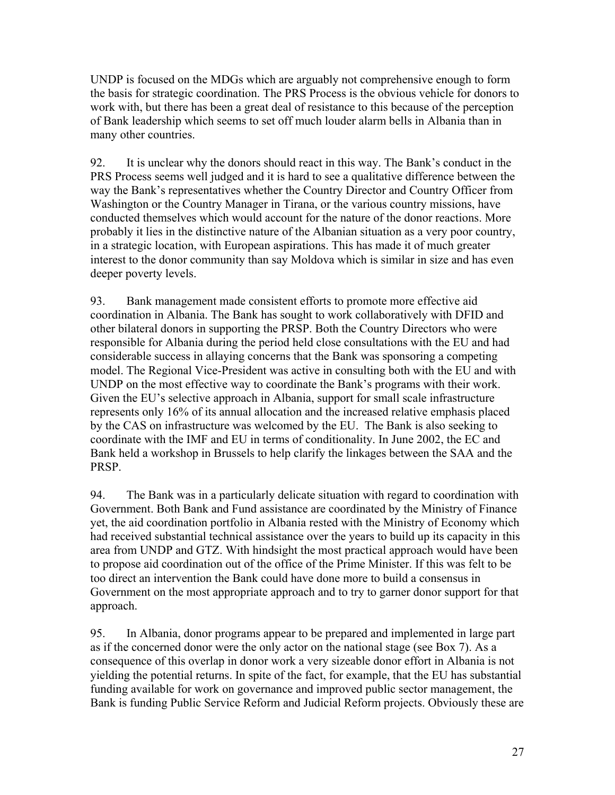UNDP is focused on the MDGs which are arguably not comprehensive enough to form the basis for strategic coordination. The PRS Process is the obvious vehicle for donors to work with, but there has been a great deal of resistance to this because of the perception of Bank leadership which seems to set off much louder alarm bells in Albania than in many other countries.

92. It is unclear why the donors should react in this way. The Bank's conduct in the PRS Process seems well judged and it is hard to see a qualitative difference between the way the Bank's representatives whether the Country Director and Country Officer from Washington or the Country Manager in Tirana, or the various country missions, have conducted themselves which would account for the nature of the donor reactions. More probably it lies in the distinctive nature of the Albanian situation as a very poor country, in a strategic location, with European aspirations. This has made it of much greater interest to the donor community than say Moldova which is similar in size and has even deeper poverty levels.

93. Bank management made consistent efforts to promote more effective aid coordination in Albania. The Bank has sought to work collaboratively with DFID and other bilateral donors in supporting the PRSP. Both the Country Directors who were responsible for Albania during the period held close consultations with the EU and had considerable success in allaying concerns that the Bank was sponsoring a competing model. The Regional Vice-President was active in consulting both with the EU and with UNDP on the most effective way to coordinate the Bank's programs with their work. Given the EU's selective approach in Albania, support for small scale infrastructure represents only 16% of its annual allocation and the increased relative emphasis placed by the CAS on infrastructure was welcomed by the EU. The Bank is also seeking to coordinate with the IMF and EU in terms of conditionality. In June 2002, the EC and Bank held a workshop in Brussels to help clarify the linkages between the SAA and the PRSP.

94. The Bank was in a particularly delicate situation with regard to coordination with Government. Both Bank and Fund assistance are coordinated by the Ministry of Finance yet, the aid coordination portfolio in Albania rested with the Ministry of Economy which had received substantial technical assistance over the years to build up its capacity in this area from UNDP and GTZ. With hindsight the most practical approach would have been to propose aid coordination out of the office of the Prime Minister. If this was felt to be too direct an intervention the Bank could have done more to build a consensus in Government on the most appropriate approach and to try to garner donor support for that approach.

95. In Albania, donor programs appear to be prepared and implemented in large part as if the concerned donor were the only actor on the national stage (see Box 7). As a consequence of this overlap in donor work a very sizeable donor effort in Albania is not yielding the potential returns. In spite of the fact, for example, that the EU has substantial funding available for work on governance and improved public sector management, the Bank is funding Public Service Reform and Judicial Reform projects. Obviously these are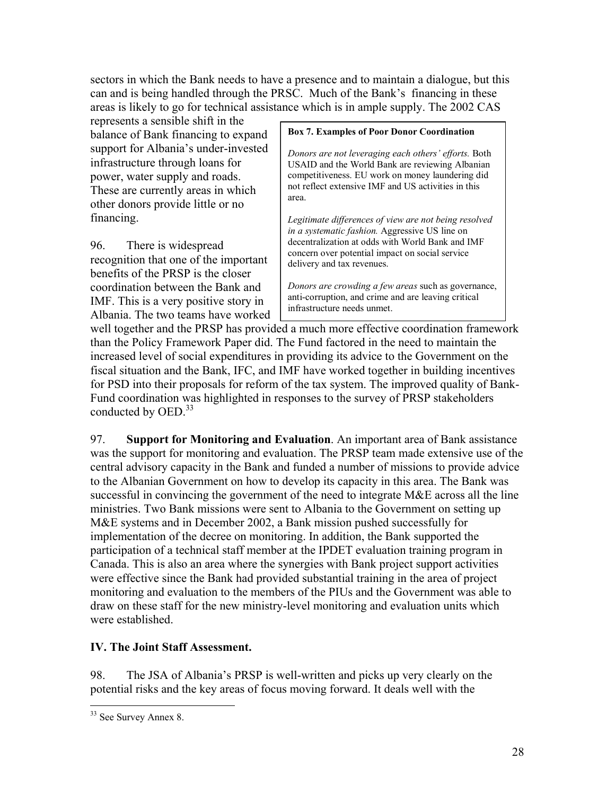sectors in which the Bank needs to have a presence and to maintain a dialogue, but this can and is being handled through the PRSC. Much of the Bank's financing in these areas is likely to go for technical assistance which is in ample supply. The 2002 CAS

represents a sensible shift in the balance of Bank financing to expand support for Albania's under-invested infrastructure through loans for power, water supply and roads. These are currently areas in which other donors provide little or no financing.

96. There is widespread recognition that one of the important benefits of the PRSP is the closer coordination between the Bank and IMF. This is a very positive story in Albania. The two teams have worked

#### **Box 7. Examples of Poor Donor Coordination**

*Donors are not leveraging each others' efforts.* Both USAID and the World Bank are reviewing Albanian competitiveness. EU work on money laundering did not reflect extensive IMF and US activities in this area.

*Legitimate differences of view are not being resolved in a systematic fashion.* Aggressive US line on decentralization at odds with World Bank and IMF concern over potential impact on social service delivery and tax revenues.

*Donors are crowding a few areas* such as governance, anti-corruption, and crime and are leaving critical infrastructure needs unmet.

well together and the PRSP has provided a much more effective coordination framework than the Policy Framework Paper did. The Fund factored in the need to maintain the increased level of social expenditures in providing its advice to the Government on the fiscal situation and the Bank, IFC, and IMF have worked together in building incentives for PSD into their proposals for reform of the tax system. The improved quality of Bank-Fund coordination was highlighted in responses to the survey of PRSP stakeholders conducted by OED.<sup>33</sup>

97. **Support for Monitoring and Evaluation**. An important area of Bank assistance was the support for monitoring and evaluation. The PRSP team made extensive use of the central advisory capacity in the Bank and funded a number of missions to provide advice to the Albanian Government on how to develop its capacity in this area. The Bank was successful in convincing the government of the need to integrate M&E across all the line ministries. Two Bank missions were sent to Albania to the Government on setting up M&E systems and in December 2002, a Bank mission pushed successfully for implementation of the decree on monitoring. In addition, the Bank supported the participation of a technical staff member at the IPDET evaluation training program in Canada. This is also an area where the synergies with Bank project support activities were effective since the Bank had provided substantial training in the area of project monitoring and evaluation to the members of the PIUs and the Government was able to draw on these staff for the new ministry-level monitoring and evaluation units which were established.

### **IV. The Joint Staff Assessment.**

98. The JSA of Albania's PRSP is well-written and picks up very clearly on the potential risks and the key areas of focus moving forward. It deals well with the

 $\overline{a}$ <sup>33</sup> See Survey Annex 8.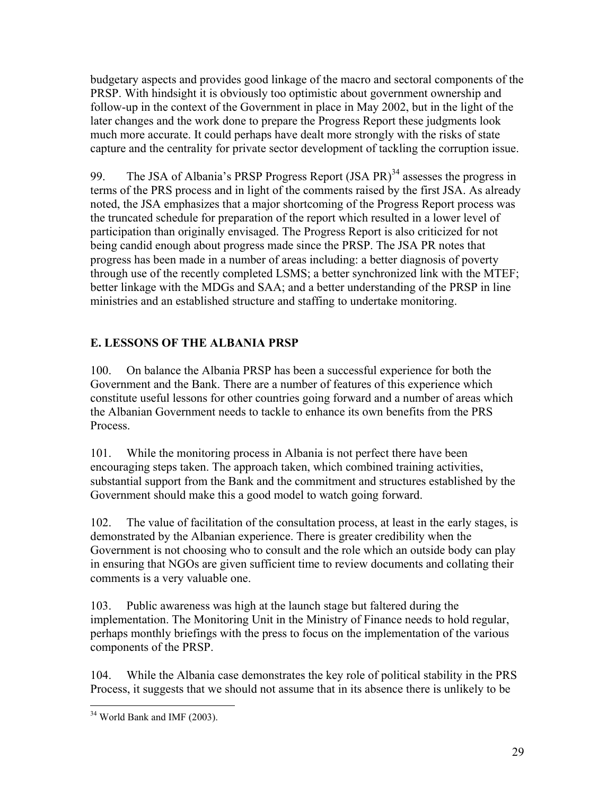budgetary aspects and provides good linkage of the macro and sectoral components of the PRSP. With hindsight it is obviously too optimistic about government ownership and follow-up in the context of the Government in place in May 2002, but in the light of the later changes and the work done to prepare the Progress Report these judgments look much more accurate. It could perhaps have dealt more strongly with the risks of state capture and the centrality for private sector development of tackling the corruption issue.

99. The JSA of Albania's PRSP Progress Report (JSA PR)<sup>34</sup> assesses the progress in terms of the PRS process and in light of the comments raised by the first JSA. As already noted, the JSA emphasizes that a major shortcoming of the Progress Report process was the truncated schedule for preparation of the report which resulted in a lower level of participation than originally envisaged. The Progress Report is also criticized for not being candid enough about progress made since the PRSP. The JSA PR notes that progress has been made in a number of areas including: a better diagnosis of poverty through use of the recently completed LSMS; a better synchronized link with the MTEF; better linkage with the MDGs and SAA; and a better understanding of the PRSP in line ministries and an established structure and staffing to undertake monitoring.

## **E. LESSONS OF THE ALBANIA PRSP**

100. On balance the Albania PRSP has been a successful experience for both the Government and the Bank. There are a number of features of this experience which constitute useful lessons for other countries going forward and a number of areas which the Albanian Government needs to tackle to enhance its own benefits from the PRS Process.

101. While the monitoring process in Albania is not perfect there have been encouraging steps taken. The approach taken, which combined training activities, substantial support from the Bank and the commitment and structures established by the Government should make this a good model to watch going forward.

102. The value of facilitation of the consultation process, at least in the early stages, is demonstrated by the Albanian experience. There is greater credibility when the Government is not choosing who to consult and the role which an outside body can play in ensuring that NGOs are given sufficient time to review documents and collating their comments is a very valuable one.

103. Public awareness was high at the launch stage but faltered during the implementation. The Monitoring Unit in the Ministry of Finance needs to hold regular, perhaps monthly briefings with the press to focus on the implementation of the various components of the PRSP.

104. While the Albania case demonstrates the key role of political stability in the PRS Process, it suggests that we should not assume that in its absence there is unlikely to be

 $\overline{a}$ 34 World Bank and IMF (2003).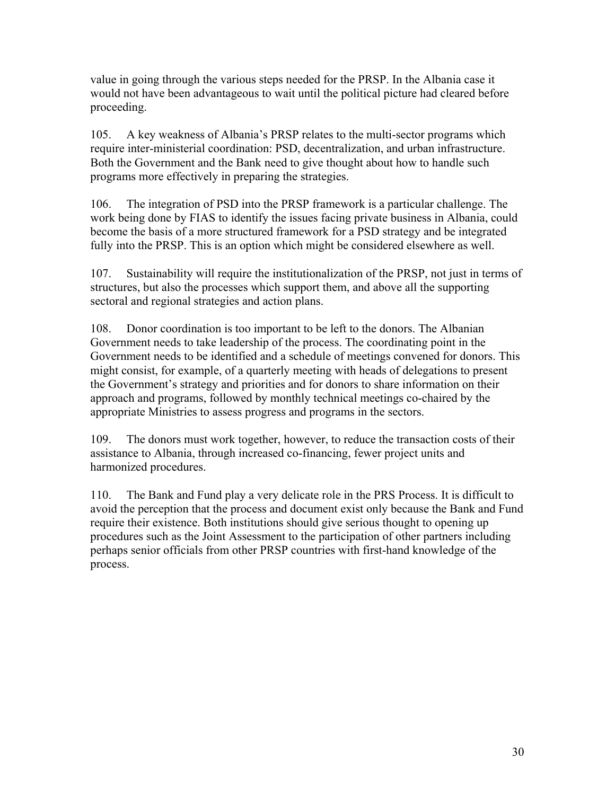value in going through the various steps needed for the PRSP. In the Albania case it would not have been advantageous to wait until the political picture had cleared before proceeding.

105. A key weakness of Albania's PRSP relates to the multi-sector programs which require inter-ministerial coordination: PSD, decentralization, and urban infrastructure. Both the Government and the Bank need to give thought about how to handle such programs more effectively in preparing the strategies.

106. The integration of PSD into the PRSP framework is a particular challenge. The work being done by FIAS to identify the issues facing private business in Albania, could become the basis of a more structured framework for a PSD strategy and be integrated fully into the PRSP. This is an option which might be considered elsewhere as well.

107. Sustainability will require the institutionalization of the PRSP, not just in terms of structures, but also the processes which support them, and above all the supporting sectoral and regional strategies and action plans.

108. Donor coordination is too important to be left to the donors. The Albanian Government needs to take leadership of the process. The coordinating point in the Government needs to be identified and a schedule of meetings convened for donors. This might consist, for example, of a quarterly meeting with heads of delegations to present the Government's strategy and priorities and for donors to share information on their approach and programs, followed by monthly technical meetings co-chaired by the appropriate Ministries to assess progress and programs in the sectors.

109. The donors must work together, however, to reduce the transaction costs of their assistance to Albania, through increased co-financing, fewer project units and harmonized procedures.

110. The Bank and Fund play a very delicate role in the PRS Process. It is difficult to avoid the perception that the process and document exist only because the Bank and Fund require their existence. Both institutions should give serious thought to opening up procedures such as the Joint Assessment to the participation of other partners including perhaps senior officials from other PRSP countries with first-hand knowledge of the process.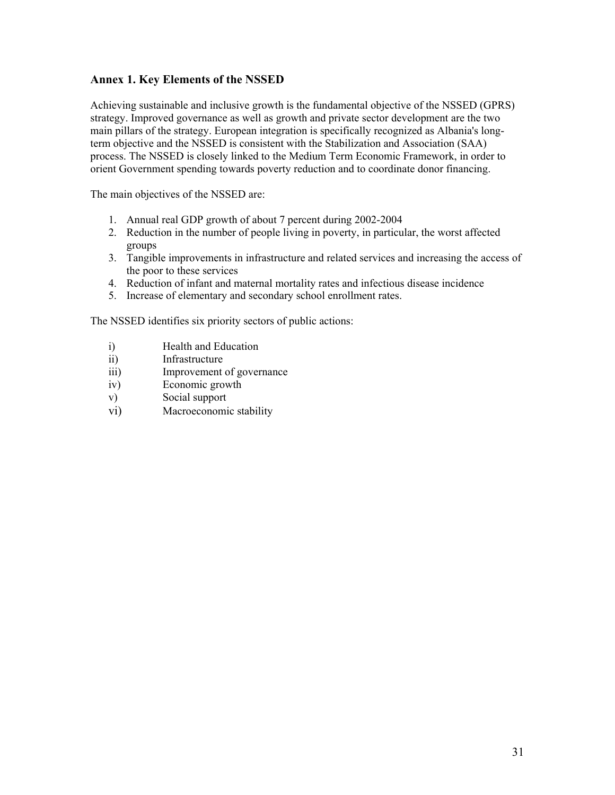#### **Annex 1. Key Elements of the NSSED**

Achieving sustainable and inclusive growth is the fundamental objective of the NSSED (GPRS) strategy. Improved governance as well as growth and private sector development are the two main pillars of the strategy. European integration is specifically recognized as Albania's longterm objective and the NSSED is consistent with the Stabilization and Association (SAA) process. The NSSED is closely linked to the Medium Term Economic Framework, in order to orient Government spending towards poverty reduction and to coordinate donor financing.

The main objectives of the NSSED are:

- 1. Annual real GDP growth of about 7 percent during 2002-2004
- 2. Reduction in the number of people living in poverty, in particular, the worst affected groups
- 3. Tangible improvements in infrastructure and related services and increasing the access of the poor to these services
- 4. Reduction of infant and maternal mortality rates and infectious disease incidence
- 5. Increase of elementary and secondary school enrollment rates.

The NSSED identifies six priority sectors of public actions:

- i) Health and Education
- ii) Infrastructure
- iii) Improvement of governance
- iv) Economic growth
- v) Social support
- vi) Macroeconomic stability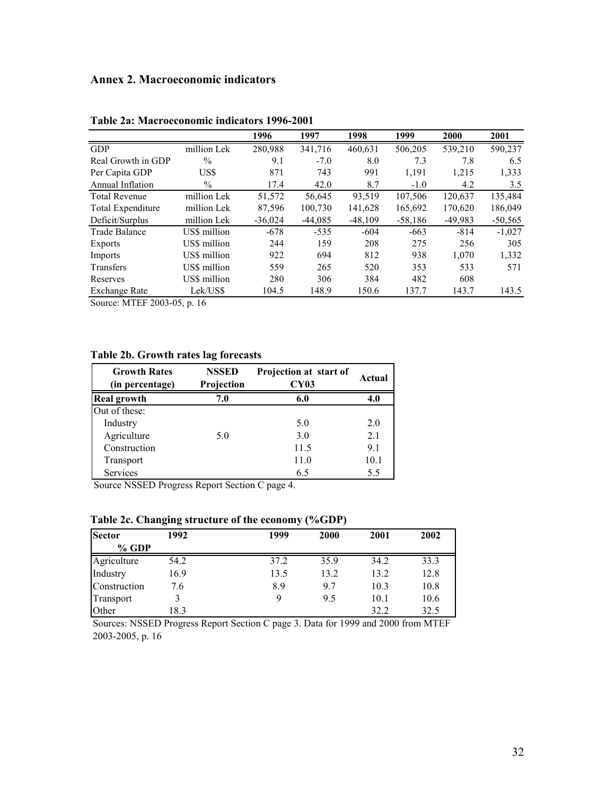### **Annex 2. Macroeconomic indicators**

|                      |               | 1996      | 1997      | 1998      | 1999      | 2000      | 2001          |
|----------------------|---------------|-----------|-----------|-----------|-----------|-----------|---------------|
| <b>GDP</b>           | million Lek   | 280,988   | 341,716   | 460.631   | 506,205   | 539,210   | 590,237       |
| Real Growth in GDP   | $\frac{0}{0}$ | 9.1       | $-7.0$    | 8.0       | 7.3       | 7.8       | 6.5           |
| Per Capita GDP       | US\$          | 871       | 743       | 991       | 1,191     | 1,215     | 1,333         |
| Annual Inflation     | $\%$          | 17.4      | 42.0      | 8.7       | $-1.0$    | 4.2       | $3.5^{\circ}$ |
| <b>Total Revenue</b> | million Lek   | 51,572    | 56,645    | 93,519    | 107,506   | 120,637   | 135,484       |
| Total Expenditure    | million Lek   | 87,596    | 100,730   | 141,628   | 165,692   | 170,620   | 186,049       |
| Deficit/Surplus      | million Lek   | $-36,024$ | $-44,085$ | $-48,109$ | $-58,186$ | $-49,983$ | $-50,565$     |
| Trade Balance        | US\$ million  | $-678$    | $-535$    | $-604$    | $-663$    | $-814$    | $-1,027$      |
| Exports              | US\$ million  | 244       | 159       | 208       | 275       | 256       | 305           |
| Imports              | US\$ million  | 922       | 694       | 812       | 938       | 1.070     | 1,332         |
| Transfers            | US\$ million  | 559       | 265       | 520       | 353       | 533       | 571           |
| Reserves             | US\$ million  | 280       | 306       | 384       | 482       | 608       |               |
| Exchange Rate        | Lek/US\$      | 104.5     | 148.9     | 150.6     | 137.7     | 143.7     | 143.5         |

**Table 2a: Macroeconomic indicators 1996-2001** 

Source: MTEF 2003-05, p. 16

#### **Table 2b. Growth rates lag forecasts**

| <b>Growth Rates</b><br>(in percentage) | <b>NSSED</b><br>Projection | Projection at start of<br><b>CY03</b> | Actual |
|----------------------------------------|----------------------------|---------------------------------------|--------|
| <b>Real growth</b>                     | 7.0                        | 6.0                                   | 4.0    |
| Out of these:                          |                            |                                       |        |
| Industry                               |                            | 5.0                                   | 2.0    |
| Agriculture                            | 5.0                        | 3.0                                   | 2.1    |
| Construction                           |                            | 11.5                                  | 9.1    |
| Transport                              |                            | 11.0                                  | 10.1   |
| Services                               |                            | 6.5                                   | 5.5    |

Source NSSED Progress Report Section C page 4.

#### **Table 2c. Changing structure of the economy (%GDP)**

| <b>Sector</b> | 1992 | 1999 | 2000 | 2001 | 2002 |
|---------------|------|------|------|------|------|
| $%$ GDP       |      |      |      |      |      |
| Agriculture   | 54.2 | 37.2 | 35.9 | 34.2 | 33.3 |
| Industry      | 16.9 | 13.5 | 13.2 | 13.2 | 12.8 |
| Construction  | 7.6  | 8.9  | 9.7  | 10.3 | 10.8 |
| Transport     |      | 9    | 9.5  | 10.1 | 10.6 |
| Other         | 18.3 |      |      | 32.2 | 32.5 |

Sources: NSSED Progress Report Section C page 3. Data for 1999 and 2000 from MTEF 2003-2005, p. 16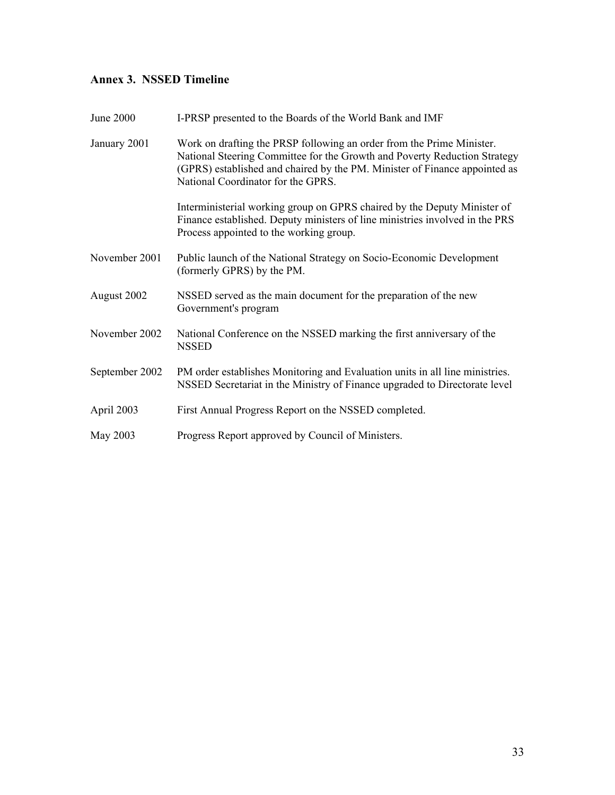## **Annex 3. NSSED Timeline**

| June 2000      | I-PRSP presented to the Boards of the World Bank and IMF                                                                                                                                                                                                               |
|----------------|------------------------------------------------------------------------------------------------------------------------------------------------------------------------------------------------------------------------------------------------------------------------|
| January 2001   | Work on drafting the PRSP following an order from the Prime Minister.<br>National Steering Committee for the Growth and Poverty Reduction Strategy<br>(GPRS) established and chaired by the PM. Minister of Finance appointed as<br>National Coordinator for the GPRS. |
|                | Interministerial working group on GPRS chaired by the Deputy Minister of<br>Finance established. Deputy ministers of line ministries involved in the PRS<br>Process appointed to the working group.                                                                    |
| November 2001  | Public launch of the National Strategy on Socio-Economic Development<br>(formerly GPRS) by the PM.                                                                                                                                                                     |
| August 2002    | NSSED served as the main document for the preparation of the new<br>Government's program                                                                                                                                                                               |
| November 2002  | National Conference on the NSSED marking the first anniversary of the<br><b>NSSED</b>                                                                                                                                                                                  |
| September 2002 | PM order establishes Monitoring and Evaluation units in all line ministries.<br>NSSED Secretariat in the Ministry of Finance upgraded to Directorate level                                                                                                             |
| April 2003     | First Annual Progress Report on the NSSED completed.                                                                                                                                                                                                                   |
| May 2003       | Progress Report approved by Council of Ministers.                                                                                                                                                                                                                      |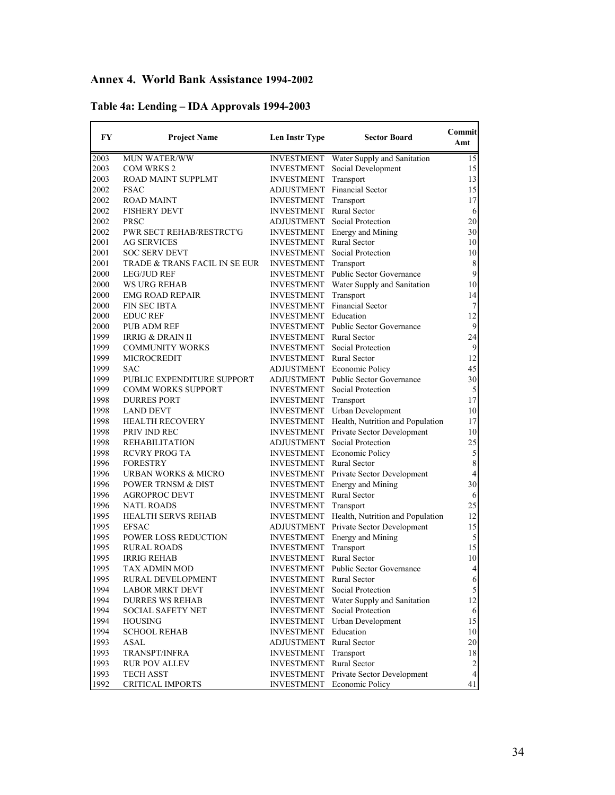## **Annex 4. World Bank Assistance 1994-2002**

| Table 4a: Lending – IDA Approvals 1994-2003 |  |
|---------------------------------------------|--|
|                                             |  |

| FY   | <b>Project Name</b>           | Len Instr Type                         | <b>Sector Board</b>                          | Commit<br>Amt           |
|------|-------------------------------|----------------------------------------|----------------------------------------------|-------------------------|
| 2003 | <b>MUN WATER/WW</b>           | <b>INVESTMENT</b>                      | Water Supply and Sanitation                  | 15                      |
| 2003 | <b>COM WRKS 2</b>             | <b>INVESTMENT</b>                      | Social Development                           | 15                      |
| 2003 | ROAD MAINT SUPPLMT            | <b>INVESTMENT</b>                      | Transport                                    | 13                      |
| 2002 | <b>FSAC</b>                   |                                        | ADJUSTMENT Financial Sector                  | 15                      |
| 2002 | <b>ROAD MAINT</b>             | <b>INVESTMENT</b>                      | Transport                                    | 17                      |
| 2002 | <b>FISHERY DEVT</b>           | <b>INVESTMENT</b>                      | <b>Rural Sector</b>                          | 6                       |
| 2002 | PRSC                          |                                        | ADJUSTMENT Social Protection                 | 20                      |
| 2002 | PWR SECT REHAB/RESTRCT'G      | <b>INVESTMENT</b>                      | Energy and Mining                            | 30                      |
| 2001 | <b>AG SERVICES</b>            | INVESTMENT                             | <b>Rural Sector</b>                          | 10                      |
| 2001 | <b>SOC SERV DEVT</b>          | <b>INVESTMENT</b>                      | Social Protection                            | 10                      |
| 2001 | TRADE & TRANS FACIL IN SE EUR | <b>INVESTMENT</b>                      | Transport                                    | $\,$ $\,$               |
| 2000 | <b>LEG/JUD REF</b>            | <b>INVESTMENT</b>                      | Public Sector Governance                     | $\overline{9}$          |
| 2000 | <b>WS URG REHAB</b>           | INVESTMENT                             | Water Supply and Sanitation                  | 10                      |
| 2000 | <b>EMG ROAD REPAIR</b>        | <b>INVESTMENT</b>                      | Transport                                    | 14                      |
| 2000 | <b>FIN SEC IBTA</b>           | <b>INVESTMENT</b>                      | <b>Financial Sector</b>                      | $\boldsymbol{7}$        |
|      |                               | INVESTMENT Education                   |                                              | 12                      |
| 2000 | <b>EDUC REF</b>               |                                        |                                              |                         |
| 2000 | <b>PUB ADM REF</b>            | INVESTMENT                             | <b>Public Sector Governance</b>              | 9                       |
| 1999 | <b>IRRIG &amp; DRAIN II</b>   | <b>INVESTMENT</b>                      | <b>Rural Sector</b>                          | 24                      |
| 1999 | <b>COMMUNITY WORKS</b>        | INVESTMENT                             | Social Protection                            | $\overline{9}$          |
| 1999 | <b>MICROCREDIT</b>            | <b>INVESTMENT</b> Rural Sector         |                                              | 12                      |
| 1999 | <b>SAC</b>                    |                                        | <b>ADJUSTMENT</b> Economic Policy            | 45                      |
| 1999 | PUBLIC EXPENDITURE SUPPORT    |                                        | <b>ADJUSTMENT</b> Public Sector Governance   | 30                      |
| 1999 | <b>COMM WORKS SUPPORT</b>     |                                        | <b>INVESTMENT</b> Social Protection          | 5                       |
| 1998 | <b>DURRES PORT</b>            | INVESTMENT                             | Transport                                    | 17                      |
| 1998 | LAND DEVT                     | INVESTMENT                             | Urban Development                            | 10                      |
| 1998 | <b>HEALTH RECOVERY</b>        |                                        | INVESTMENT Health, Nutrition and Population  | 17                      |
| 1998 | PRIV IND REC                  |                                        | <b>INVESTMENT</b> Private Sector Development | 10                      |
| 1998 | <b>REHABILITATION</b>         | ADJUSTMENT                             | Social Protection                            | 25                      |
| 1998 | <b>RCVRY PROG TA</b>          |                                        | <b>INVESTMENT</b> Economic Policy            | 5                       |
| 1996 | <b>FORESTRY</b>               | <b>INVESTMENT</b> Rural Sector         |                                              | $\,$ 8 $\,$             |
| 1996 | URBAN WORKS & MICRO           |                                        | INVESTMENT Private Sector Development        | $\overline{\mathbf{4}}$ |
| 1996 | <b>POWER TRNSM &amp; DIST</b> | INVESTMENT                             | <b>Energy and Mining</b>                     | 30                      |
| 1996 | <b>AGROPROC DEVT</b>          | INVESTMENT                             | Rural Sector                                 | 6                       |
| 1996 | <b>NATL ROADS</b>             | <b>INVESTMENT</b>                      | Transport                                    | 25                      |
| 1995 | <b>HEALTH SERVS REHAB</b>     |                                        | INVESTMENT Health, Nutrition and Population  | 12                      |
| 1995 | <b>EFSAC</b>                  |                                        | ADJUSTMENT Private Sector Development        | 15                      |
| 1995 | <b>POWER LOSS REDUCTION</b>   | <b>INVESTMENT</b>                      | <b>Energy and Mining</b>                     | 5                       |
| 1995 | <b>RURAL ROADS</b>            | <b>INVESTMENT</b>                      | Transport                                    | 15                      |
| 1995 | <b>IRRIG REHAB</b>            | <b>INVESTMENT</b>                      | <b>Rural Sector</b>                          | 10                      |
| 1995 | TAX ADMIN MOD                 | <b>INVESTMENT</b>                      | <b>Public Sector Governance</b>              | $\overline{4}$          |
| 1995 | RURAL DEVELOPMENT             | <b>INVESTMENT</b>                      | Rural Sector                                 |                         |
| 1994 | <b>LABOR MRKT DEVT</b>        |                                        | Social Protection                            | 6<br>$\mathfrak{S}$     |
| 1994 | <b>DURRES WS REHAB</b>        | <b>INVESTMENT</b><br><b>INVESTMENT</b> | Water Supply and Sanitation                  | 12                      |
|      |                               |                                        |                                              |                         |
| 1994 | <b>SOCIAL SAFETY NET</b>      | <b>INVESTMENT</b>                      | Social Protection                            | 6                       |
| 1994 | <b>HOUSING</b>                | <b>INVESTMENT</b>                      | Urban Development                            | 15                      |
| 1994 | <b>SCHOOL REHAB</b>           | <b>INVESTMENT</b>                      | Education                                    | 10                      |
| 1993 | <b>ASAL</b>                   | ADJUSTMENT Rural Sector                |                                              | $20\,$                  |
| 1993 | TRANSPT/INFRA                 | <b>INVESTMENT</b>                      | Transport                                    | $18\,$                  |
| 1993 | <b>RUR POV ALLEV</b>          | <b>INVESTMENT</b>                      | <b>Rural Sector</b>                          | $\overline{c}$          |
| 1993 | <b>TECH ASST</b>              | <b>INVESTMENT</b>                      | Private Sector Development                   | $\overline{4}$          |
| 1992 | <b>CRITICAL IMPORTS</b>       | <b>INVESTMENT</b>                      | Economic Policy                              | 41                      |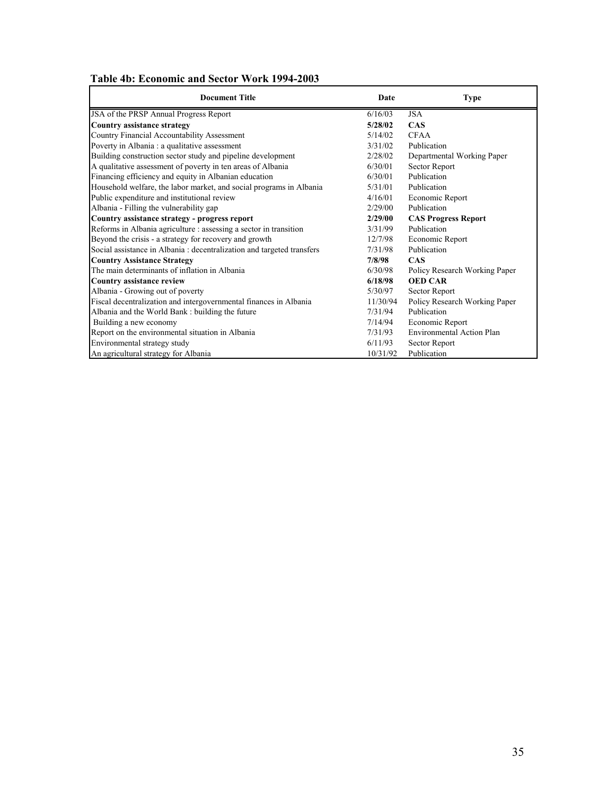|  | Table 4b: Economic and Sector Work 1994-2003 |  |
|--|----------------------------------------------|--|
|  |                                              |  |

| <b>Document Title</b>                                                  | Date     | <b>Type</b>                   |
|------------------------------------------------------------------------|----------|-------------------------------|
| JSA of the PRSP Annual Progress Report                                 | 6/16/03  | <b>JSA</b>                    |
| <b>Country assistance strategy</b>                                     | 5/28/02  | <b>CAS</b>                    |
| Country Financial Accountability Assessment                            | 5/14/02  | <b>CFAA</b>                   |
| Poverty in Albania : a qualitative assessment                          | 3/31/02  | Publication                   |
| Building construction sector study and pipeline development            | 2/28/02  | Departmental Working Paper    |
| A qualitative assessment of poverty in ten areas of Albania            | 6/30/01  | Sector Report                 |
| Financing efficiency and equity in Albanian education                  | 6/30/01  | Publication                   |
| Household welfare, the labor market, and social programs in Albania    | 5/31/01  | Publication                   |
| Public expenditure and institutional review                            | 4/16/01  | Economic Report               |
| Albania - Filling the vulnerability gap                                | 2/29/00  | Publication                   |
| Country assistance strategy - progress report                          | 2/29/00  | <b>CAS Progress Report</b>    |
| Reforms in Albania agriculture : assessing a sector in transition      | 3/31/99  | Publication                   |
| Beyond the crisis - a strategy for recovery and growth                 | 12/7/98  | Economic Report               |
| Social assistance in Albania : decentralization and targeted transfers | 7/31/98  | Publication                   |
| <b>Country Assistance Strategy</b>                                     | 7/8/98   | <b>CAS</b>                    |
| The main determinants of inflation in Albania                          | 6/30/98  | Policy Research Working Paper |
| Country assistance review                                              | 6/18/98  | <b>OED CAR</b>                |
| Albania - Growing out of poverty                                       | 5/30/97  | Sector Report                 |
| Fiscal decentralization and intergovernmental finances in Albania      | 11/30/94 | Policy Research Working Paper |
| Albania and the World Bank : building the future                       | 7/31/94  | Publication                   |
| Building a new economy                                                 | 7/14/94  | Economic Report               |
| Report on the environmental situation in Albania                       | 7/31/93  | Environmental Action Plan     |
| Environmental strategy study                                           | 6/11/93  | Sector Report                 |
| An agricultural strategy for Albania                                   | 10/31/92 | Publication                   |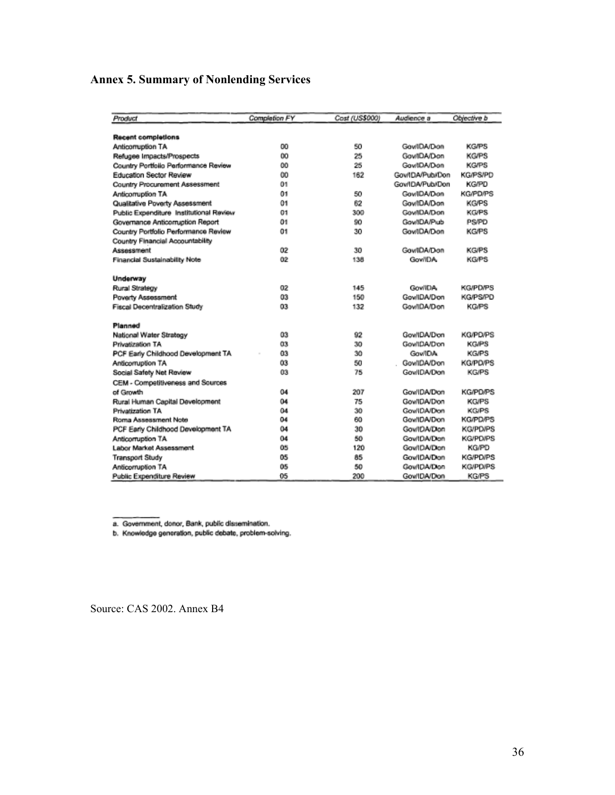## **Annex 5. Summary of Nonlending Services**

| Product                                 | Completion FY | Cost (US\$000) | Audience a          | Objective b     |
|-----------------------------------------|---------------|----------------|---------------------|-----------------|
| <b>Recent completions</b>               |               |                |                     |                 |
| Anticomuption TA                        | OO            | 50             | <b>Gov/IDA/Don</b>  | <b>KG/PS</b>    |
| Refugee Impacts/Prospects               | 0O            | 25             | <b>Gov/IDA/Don</b>  | <b>KG/PS</b>    |
| Country Portfolio Performance Review    | 00            | 25             | <b>Gov/IDA/Don</b>  | <b>KG/PS</b>    |
| Education Sector Review                 | 00            | 162            | Gov/IDA/Pub/Don     | <b>KG/PS/PD</b> |
| Country Procurement Assessment          | 01            |                | Gov/IDA/Pub/Don     | <b>KG/PD</b>    |
| Anticomuption TA                        | 01            | 50             | Gov/IDA/Don         | <b>KG/PD/PS</b> |
| Qualitative Poverty Assessment          | 01            | 62             | <b>Gov/IDA/Don</b>  | <b>KG/PS</b>    |
| Public Expenditure Institutional Review | 01            | 300            | Gov/IDA/Don         | <b>KG/PS</b>    |
|                                         | 01            | 90             | Gov/IDA/Pub         | PS/PD           |
| Governance Anticomuption Report         |               |                | Gov/IDA/Don         | <b>KG/PS</b>    |
| Country Portfolio Performance Review    | 01            | 30             |                     |                 |
| Country Financial Accountability        |               |                |                     |                 |
| Assessment                              | 02            | 30             | Gov/IDA/Don         | <b>KG/PS</b>    |
| Financial Sustainability Note           | 02            | 138            | GowlIDA             | <b>KG/PS</b>    |
| Underway                                |               |                |                     |                 |
| Rural Strategy                          | 02            | 145            | GowlDA.             | <b>KG/PD/PS</b> |
| <b>Poverty Assessment</b>               | 03            | 150            | GowlIDA/Don         | <b>KG/PS/PD</b> |
| <b>Fiscal Decentralization Study</b>    | 03            | 132            | Gov/IDA/Don         | <b>KG/PS</b>    |
| Planned                                 |               |                |                     |                 |
| National Water Strategy                 | 03            | 92             | GowlIDA/Don         | <b>KG/PD/PS</b> |
| Privatization TA                        | 03            | 30             | GowlDA/Don          | <b>KG/PS</b>    |
| PCF Early Childhood Development TA      | 03            | 30             | <b>Gov/IDA</b>      | <b>KG/PS</b>    |
| Anticomuption TA                        | 03            | 50             | GowlDA/Don          | <b>KG/PD/PS</b> |
| Social Safety Net Review                | 03            | 75             | <b>GowlDA/Don</b>   | <b>KG/PS</b>    |
| CEM - Competitiveness and Sources       |               |                |                     |                 |
| of Growth                               | 04            | 207            | <b>GowlDA/Don</b>   | <b>KG/PD/PS</b> |
| Rural Human Capital Development         | 04            | 75             | GowlDA/Don          | <b>KG/PS</b>    |
| Privatization TA                        | 04            | 30             | <b>GowlDA/Don</b>   | <b>KG/PS</b>    |
| Roma Assessment Note                    | 04            | 60             | <b>Gov/IDA/Don</b>  | <b>KG/PD/PS</b> |
| PCF Early Childhood Development TA      | 04            | 30             | Gov/IDA/Don         | <b>KG/PD/PS</b> |
| Anticomuption TA                        | 04            | 50             | Gov/IDA/Don         | <b>KG/PD/PS</b> |
| Labor Market Assessment                 | 05            | 120            | <b>Gov/IDA/Dion</b> | <b>KG/PD</b>    |
| <b>Transport Study</b>                  | 05            | 85             | GowlDA/Dion         | <b>KG/PD/PS</b> |
| Anticomuption TA                        | 05            | 50             | GowlDA/Dion         | <b>KG/PD/PS</b> |
| Public Expenditure Review               | 05            | 200            | Gow!DA/Dion         | <b>KG/PS</b>    |

a. Government, donor, Bank, public dissemination.<br>b. Knowledge generation, public debate, problem-solving.

Source: CAS 2002. Annex B4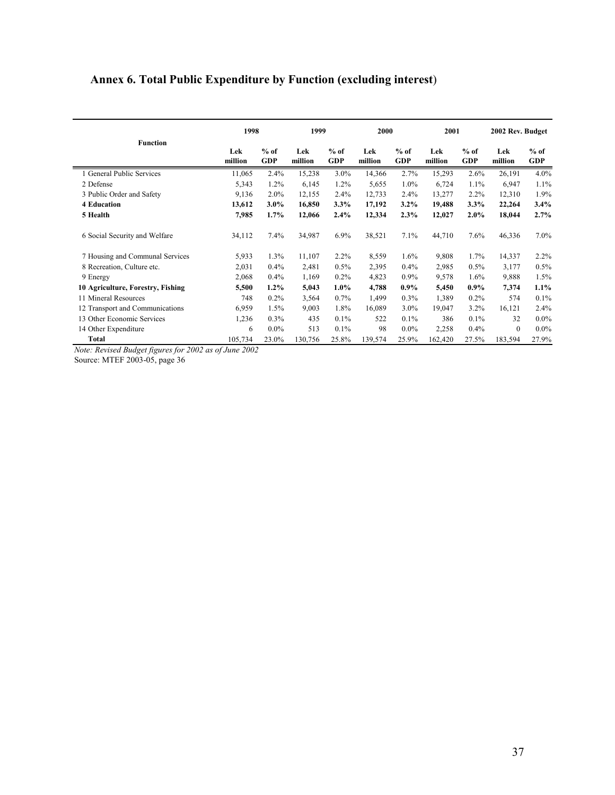# **Annex 6. Total Public Expenditure by Function (excluding interest**)

|                                   | 1998           |                      | 1999           |                      | 2000           |                      | 2001           |                      | 2002 Rev. Budget |                      |
|-----------------------------------|----------------|----------------------|----------------|----------------------|----------------|----------------------|----------------|----------------------|------------------|----------------------|
| <b>Function</b>                   | Lek<br>million | $%$ of<br><b>GDP</b> | Lek<br>million | $%$ of<br><b>GDP</b> | Lek<br>million | $%$ of<br><b>GDP</b> | Lek<br>million | $%$ of<br><b>GDP</b> | Lek<br>million   | $%$ of<br><b>GDP</b> |
| 1 General Public Services         | 11,065         | 2.4%                 | 15,238         | 3.0%                 | 14,366         | 2.7%                 | 15,293         | 2.6%                 | 26,191           | 4.0%                 |
| 2 Defense                         | 5,343          | 1.2%                 | 6,145          | 1.2%                 | 5,655          | 1.0%                 | 6,724          | 1.1%                 | 6,947            | 1.1%                 |
| 3 Public Order and Safety         | 9,136          | 2.0%                 | 12,155         | 2.4%                 | 12,733         | 2.4%                 | 13,277         | 2.2%                 | 12,310           | 1.9%                 |
| <b>4 Education</b>                | 13,612         | $3.0\%$              | 16,850         | 3.3%                 | 17,192         | $3.2\%$              | 19,488         | 3.3%                 | 22,264           | 3.4%                 |
| 5 Health                          | 7,985          | 1.7%                 | 12,066         | 2.4%                 | 12,334         | 2.3%                 | 12,027         | $2.0\%$              | 18,044           | 2.7%                 |
| 6 Social Security and Welfare     | 34,112         | 7.4%                 | 34,987         | 6.9%                 | 38,521         | 7.1%                 | 44,710         | 7.6%                 | 46,336           | 7.0%                 |
| 7 Housing and Communal Services   | 5,933          | 1.3%                 | 11,107         | 2.2%                 | 8,559          | 1.6%                 | 9,808          | 1.7%                 | 14,337           | 2.2%                 |
| 8 Recreation, Culture etc.        | 2,031          | 0.4%                 | 2,481          | 0.5%                 | 2,395          | 0.4%                 | 2,985          | $0.5\%$              | 3,177            | 0.5%                 |
| 9 Energy                          | 2,068          | 0.4%                 | 1,169          | $0.2\%$              | 4,823          | 0.9%                 | 9,578          | 1.6%                 | 9,888            | 1.5%                 |
| 10 Agriculture, Forestry, Fishing | 5,500          | $1.2\%$              | 5,043          | $1.0\%$              | 4,788          | $0.9\%$              | 5,450          | $0.9\%$              | 7,374            | 1.1%                 |
| 11 Mineral Resources              | 748            | 0.2%                 | 3,564          | 0.7%                 | 1,499          | 0.3%                 | 1,389          | 0.2%                 | 574              | 0.1%                 |
| 12 Transport and Communications   | 6,959          | 1.5%                 | 9,003          | 1.8%                 | 16,089         | $3.0\%$              | 19,047         | 3.2%                 | 16,121           | 2.4%                 |
| 13 Other Economic Services        | 1,236          | 0.3%                 | 435            | 0.1%                 | 522            | 0.1%                 | 386            | 0.1%                 | 32               | $0.0\%$              |
| 14 Other Expenditure              | 6              | $0.0\%$              | 513            | 0.1%                 | 98             | $0.0\%$              | 2,258          | 0.4%                 | $\mathbf{0}$     | $0.0\%$              |
| Total                             | 105,734        | 23.0%                | 130,756        | 25.8%                | 139,574        | 25.9%                | 162,420        | 27.5%                | 183,594          | 27.9%                |

Source: MTEF 2003-05, page 36 *Note: Revised Budget figures for 2002 as of June 2002*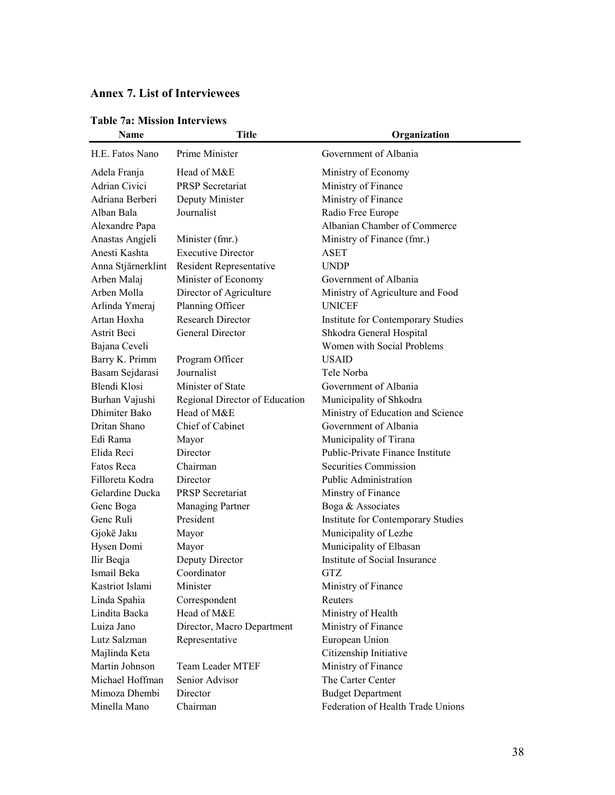## **Annex 7. List of Interviewees**

| <b>Name</b>          | <b>Title</b>                   | Organization                       |
|----------------------|--------------------------------|------------------------------------|
| H.E. Fatos Nano      | Prime Minister                 | Government of Albania              |
| Adela Franja         | Head of M&E                    | Ministry of Economy                |
| <b>Adrian Civici</b> | <b>PRSP</b> Secretariat        | Ministry of Finance                |
| Adriana Berberi      | Deputy Minister                | Ministry of Finance                |
| Alban Bala           | Journalist                     | Radio Free Europe                  |
| Alexandre Papa       |                                | Albanian Chamber of Commerce       |
| Anastas Angjeli      | Minister (fmr.)                | Ministry of Finance (fmr.)         |
| Anesti Kashta        | <b>Executive Director</b>      | <b>ASET</b>                        |
| Anna Stjärnerklint   | Resident Representative        | <b>UNDP</b>                        |
| Arben Malaj          | Minister of Economy            | Government of Albania              |
| Arben Molla          | Director of Agriculture        | Ministry of Agriculture and Food   |
| Arlinda Ymeraj       | Planning Officer               | <b>UNICEF</b>                      |
| Artan Hoxha          | <b>Research Director</b>       | Institute for Contemporary Studies |
| Astrit Beci          | General Director               | Shkodra General Hospital           |
| Bajana Ceveli        |                                | Women with Social Problems         |
| Barry K. Primm       | Program Officer                | <b>USAID</b>                       |
| Basam Sejdarasi      | Journalist                     | Tele Norba                         |
| Blendi Klosi         | Minister of State              | Government of Albania              |
| Burhan Vajushi       | Regional Director of Education | Municipality of Shkodra            |
| Dhimiter Bako        | Head of M&E                    | Ministry of Education and Science  |
| Dritan Shano         | Chief of Cabinet               | Government of Albania              |
| Edi Rama             | Mayor                          | Municipality of Tirana             |
| Elida Reci           | Director                       | Public-Private Finance Institute   |
| Fatos Reca           | Chairman                       | Securities Commission              |
| Filloreta Kodra      | Director                       | <b>Public Administration</b>       |
| Gelardine Ducka      | <b>PRSP</b> Secretariat        | Minstry of Finance                 |
| Genc Boga            | <b>Managing Partner</b>        | Boga & Associates                  |
| Genc Ruli            | President                      | Institute for Contemporary Studies |
| Gjokë Jaku           | Mayor                          | Municipality of Lezhe              |
| Hysen Domi           | Mayor                          | Municipality of Elbasan            |
| Ilir Beqja           | Deputy Director                | Institute of Social Insurance      |
| Ismail Beka          | Coordinator                    | <b>GTZ</b>                         |
| Kastriot Islami      | Minister                       | Ministry of Finance                |
| Linda Spahia         | Correspondent                  | Reuters                            |
| Lindita Backa        | Head of M&E                    | Ministry of Health                 |
| Luiza Jano           | Director, Macro Department     | Ministry of Finance                |
| Lutz Salzman         | Representative                 | European Union                     |
| Majlinda Keta        |                                | Citizenship Initiative             |
| Martin Johnson       | <b>Team Leader MTEF</b>        | Ministry of Finance                |
| Michael Hoffman      | Senior Advisor                 | The Carter Center                  |
| Mimoza Dhembi        | Director                       | <b>Budget Department</b>           |
| Minella Mano         | Chairman                       | Federation of Health Trade Unions  |
|                      |                                |                                    |

#### **Table 7a: Mission Interviews**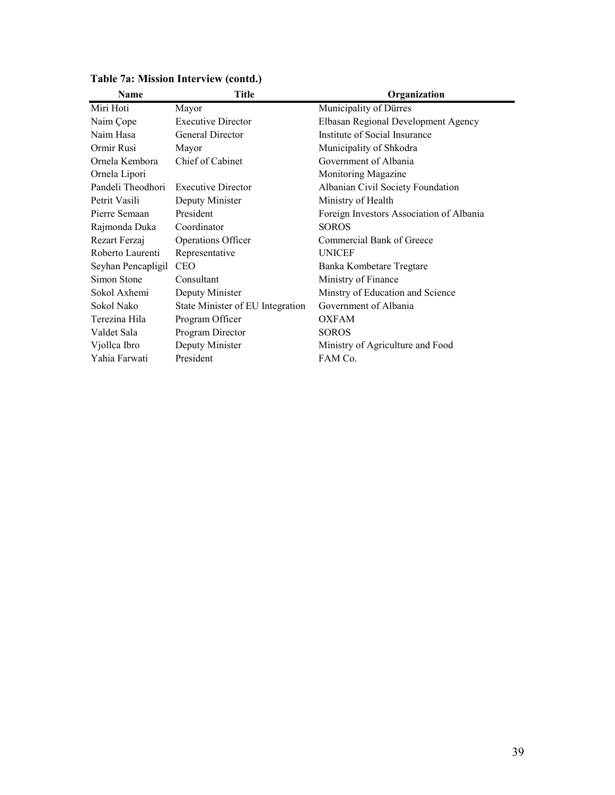| Name               | <b>Title</b>                     | Organization                             |
|--------------------|----------------------------------|------------------------------------------|
| Miri Hoti          | Mayor                            | Municipality of Dürres                   |
| Naim Cope          | <b>Executive Director</b>        | Elbasan Regional Development Agency      |
| Naim Hasa          | General Director                 | Institute of Social Insurance            |
| Ormir Rusi         | Mayor                            | Municipality of Shkodra                  |
| Ornela Kembora     | Chief of Cabinet                 | Government of Albania                    |
| Ornela Lipori      |                                  | Monitoring Magazine                      |
| Pandeli Theodhori  | <b>Executive Director</b>        | Albanian Civil Society Foundation        |
| Petrit Vasili      | Deputy Minister                  | Ministry of Health                       |
| Pierre Semaan      | President                        | Foreign Investors Association of Albania |
| Rajmonda Duka      | Coordinator                      | <b>SOROS</b>                             |
| Rezart Ferzaj      | <b>Operations Officer</b>        | Commercial Bank of Greece                |
| Roberto Laurenti   | Representative                   | <b>UNICEF</b>                            |
| Seyhan Pencapligil | <b>CEO</b>                       | Banka Kombetare Tregtare                 |
| Simon Stone        | Consultant                       | Ministry of Finance                      |
| Sokol Axhemi       | Deputy Minister                  | Minstry of Education and Science         |
| Sokol Nako         | State Minister of EU Integration | Government of Albania                    |
| Terezina Hila      | Program Officer                  | <b>OXFAM</b>                             |
| Valdet Sala        | Program Director                 | <b>SOROS</b>                             |
| Viollca Ibro       | Deputy Minister                  | Ministry of Agriculture and Food         |
| Yahia Farwati      | President                        | FAM Co.                                  |
|                    |                                  |                                          |

## **Table 7a: Mission Interview (contd.)**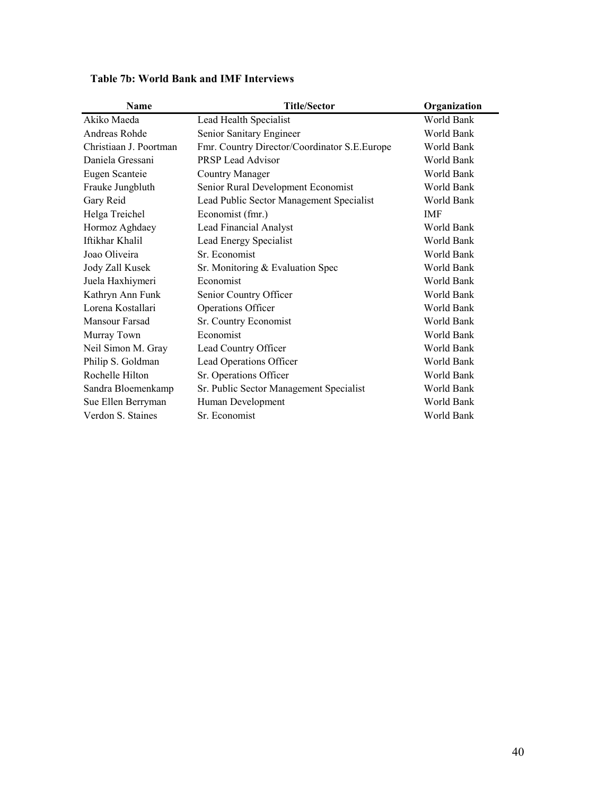| <b>Name</b>            | <b>Title/Sector</b>                           | Organization |
|------------------------|-----------------------------------------------|--------------|
| Akiko Maeda            | Lead Health Specialist                        | World Bank   |
| Andreas Rohde          | Senior Sanitary Engineer                      | World Bank   |
| Christiaan J. Poortman | Fmr. Country Director/Coordinator S.E. Europe | World Bank   |
| Daniela Gressani       | <b>PRSP Lead Advisor</b>                      | World Bank   |
| Eugen Scanteie         | <b>Country Manager</b>                        | World Bank   |
| Frauke Jungbluth       | Senior Rural Development Economist            | World Bank   |
| Gary Reid              | Lead Public Sector Management Specialist      | World Bank   |
| Helga Treichel         | Economist (fmr.)                              | <b>IMF</b>   |
| Hormoz Aghdaey         | <b>Lead Financial Analyst</b>                 | World Bank   |
| Iftikhar Khalil        | Lead Energy Specialist                        | World Bank   |
| Joao Oliveira          | Sr. Economist                                 | World Bank   |
| Jody Zall Kusek        | Sr. Monitoring & Evaluation Spec              | World Bank   |
| Juela Haxhiymeri       | Economist                                     | World Bank   |
| Kathryn Ann Funk       | Senior Country Officer                        | World Bank   |
| Lorena Kostallari      | Operations Officer                            | World Bank   |
| Mansour Farsad         | Sr. Country Economist                         | World Bank   |
| Murray Town            | Economist                                     | World Bank   |
| Neil Simon M. Gray     | Lead Country Officer                          | World Bank   |
| Philip S. Goldman      | Lead Operations Officer                       | World Bank   |
| Rochelle Hilton        | Sr. Operations Officer                        | World Bank   |
| Sandra Bloemenkamp     | Sr. Public Sector Management Specialist       | World Bank   |
| Sue Ellen Berryman     | Human Development                             | World Bank   |
| Verdon S. Staines      | Sr. Economist                                 | World Bank   |
|                        |                                               |              |

**Table 7b: World Bank and IMF Interviews**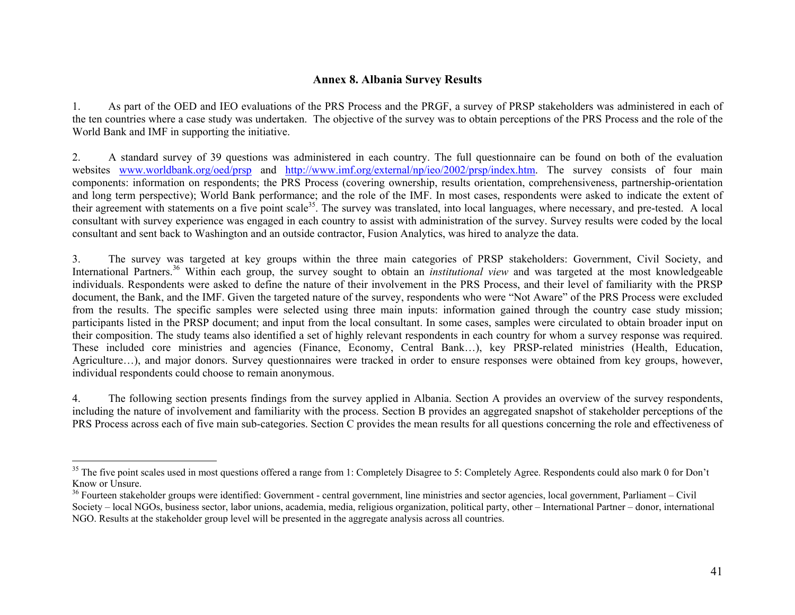#### **Annex 8. Albania Survey Results**

1. As part of the OED and IEO evaluations of the PRS Process and the PRGF, a survey of PRSP stakeholders was administered in each of the ten countries where a case study was undertaken. The objective of the survey was to obtain perceptions of the PRS Process and the role of the World Bank and IMF in supporting the initiative.

2. A standard survey of 39 questions was administered in each country. The full questionnaire can be found on both of the evaluation websites www.worldbank.org/oed/prsp and http://www.imf.org/external/np/ieo/2002/prsp/index.htm. The survey consists of four main components: information on respondents; the PRS Process (covering ownership, results orientation, comprehensiveness, partnership-orientation and long term perspective); World Bank performance; and the role of the IMF. In most cases, respondents were asked to indicate the extent of their agreement with statements on a five point scale<sup>35</sup>. The survey was translated, into local languages, where necessary, and pre-tested. A local consultant with survey experience was engaged in each country to assist with administration of the survey. Survey results were coded by the local consultant and sent back to Washington and an outside contractor, Fusion Analytics, was hired to analyze the data.

3. The survey was targeted at key groups within the three main categories of PRSP stakeholders: Government, Civil Society, and International Partners.36 Within each group, the survey sought to obtain an *institutional view* and was targeted at the most knowledgeable individuals. Respondents were asked to define the nature of their involvement in the PRS Process, and their level of familiarity with the PRSP document, the Bank, and the IMF. Given the targeted nature of the survey, respondents who were "Not Aware" of the PRS Process were excluded from the results. The specific samples were selected using three main inputs: information gained through the country case study mission; participants listed in the PRSP document; and input from the local consultant. In some cases, samples were circulated to obtain broader input on their composition. The study teams also identified a set of highly relevant respondents in each country for whom a survey response was required. These included core ministries and agencies (Finance, Economy, Central Bank…), key PRSP-related ministries (Health, Education, Agriculture…), and major donors. Survey questionnaires were tracked in order to ensure responses were obtained from key groups, however, individual respondents could choose to remain anonymous.

4. The following section presents findings from the survey applied in Albania. Section A provides an overview of the survey respondents, including the nature of involvement and familiarity with the process. Section B provides an aggregated snapshot of stakeholder perceptions of the PRS Process across each of five main sub-categories. Section C provides the mean results for all questions concerning the role and effectiveness of

<sup>&</sup>lt;sup>35</sup> The five point scales used in most questions offered a range from 1: Completely Disagree to 5: Completely Agree. Respondents could also mark 0 for Don't Know or Unsure.

<sup>36</sup> Fourteen stakeholder groups were identified: Government - central government, line ministries and sector agencies, local government, Parliament – Civil Society – local NGOs, business sector, labor unions, academia, media, religious organization, political party, other – International Partner – donor, international NGO. Results at the stakeholder group level will be presented in the aggregate analysis across all countries.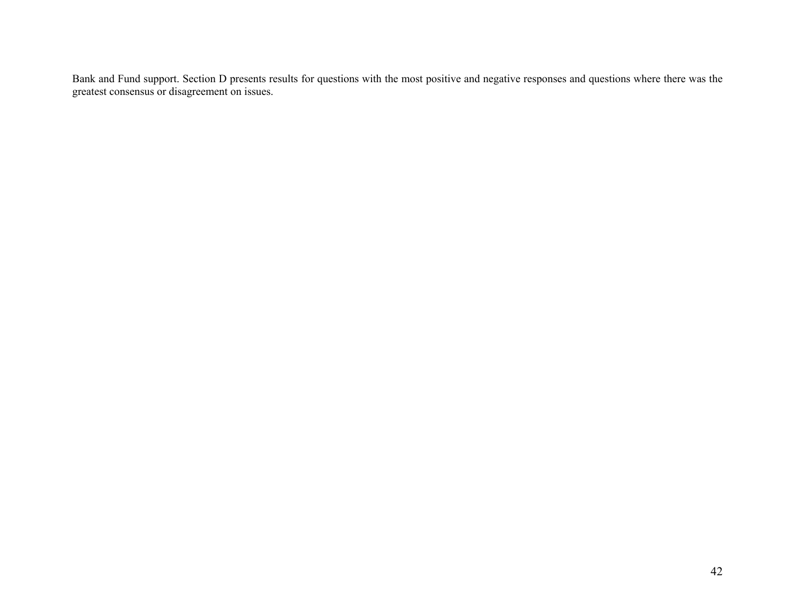Bank and Fund support. Section D presents results for questions with the most positive and negative responses and questions where there was the greatest consensus or disagreement on issues.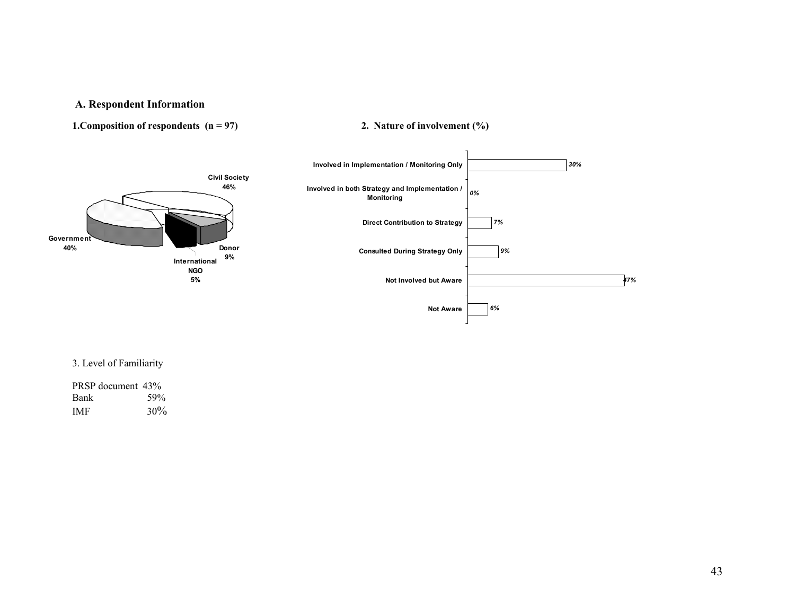#### **A. Respondent Information**

#### **1. Composition of respondents (n = 97) 2. Nature of involvement (%)**



#### 3. Level of Familiarity

| PRSP document 43% |        |
|-------------------|--------|
| <b>Bank</b>       | 59%    |
| <b>IMF</b>        | $30\%$ |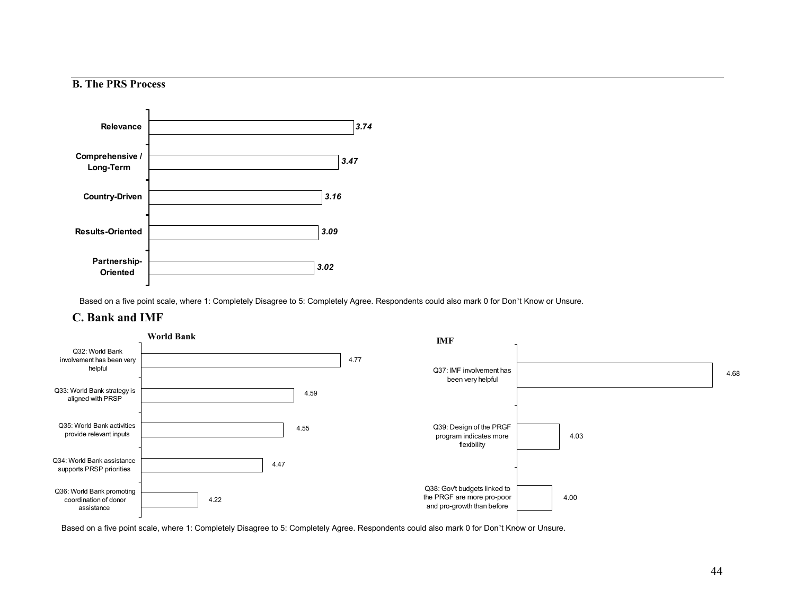#### **B. The PRS Process**



Based on a five point scale, where 1: Completely Disagree to 5: Completely Agree. Respondents could also mark 0 for Don't Know or Unsure.

#### **C. Bank and IMF**



Based on a five point scale, where 1: Completely Disagree to 5: Completely Agree. Respondents could also mark 0 for Don't Know or Unsure.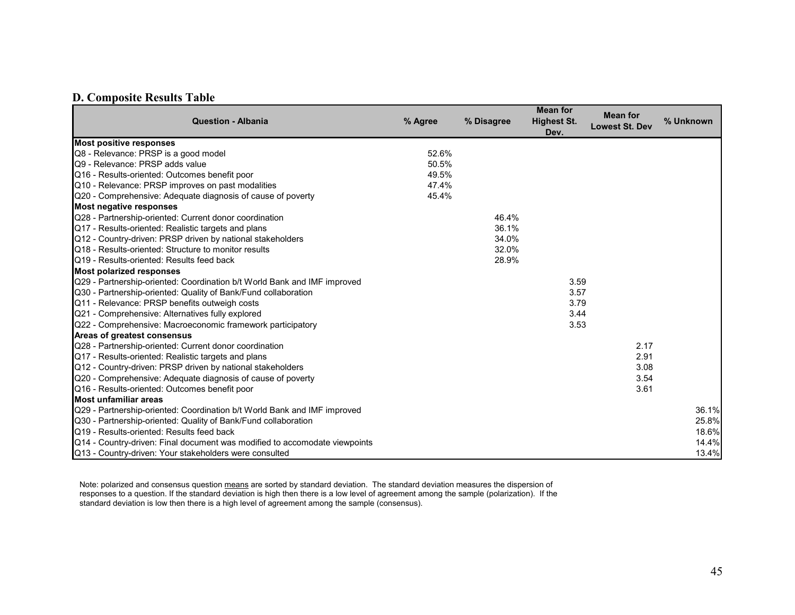#### **D. Composite Results Table**

| <b>Question - Albania</b>                                                  | % Agree | % Disagree | <b>Mean for</b><br><b>Highest St.</b><br>Dev. | <b>Mean for</b><br><b>Lowest St. Dev</b> | % Unknown |
|----------------------------------------------------------------------------|---------|------------|-----------------------------------------------|------------------------------------------|-----------|
| <b>Most positive responses</b>                                             |         |            |                                               |                                          |           |
| Q8 - Relevance: PRSP is a good model                                       | 52.6%   |            |                                               |                                          |           |
| Q9 - Relevance: PRSP adds value                                            | 50.5%   |            |                                               |                                          |           |
| Q16 - Results-oriented: Outcomes benefit poor                              | 49.5%   |            |                                               |                                          |           |
| Q10 - Relevance: PRSP improves on past modalities                          | 47.4%   |            |                                               |                                          |           |
| Q20 - Comprehensive: Adequate diagnosis of cause of poverty                | 45.4%   |            |                                               |                                          |           |
| Most negative responses                                                    |         |            |                                               |                                          |           |
| Q28 - Partnership-oriented: Current donor coordination                     |         | 46.4%      |                                               |                                          |           |
| Q17 - Results-oriented: Realistic targets and plans                        |         | 36.1%      |                                               |                                          |           |
| Q12 - Country-driven: PRSP driven by national stakeholders                 |         | 34.0%      |                                               |                                          |           |
| Q18 - Results-oriented: Structure to monitor results                       |         | 32.0%      |                                               |                                          |           |
| Q19 - Results-oriented: Results feed back                                  |         | 28.9%      |                                               |                                          |           |
| <b>Most polarized responses</b>                                            |         |            |                                               |                                          |           |
| Q29 - Partnership-oriented: Coordination b/t World Bank and IMF improved   |         |            | 3.59                                          |                                          |           |
| Q30 - Partnership-oriented: Quality of Bank/Fund collaboration             |         |            | 3.57                                          |                                          |           |
| Q11 - Relevance: PRSP benefits outweigh costs                              |         |            | 3.79                                          |                                          |           |
| Q21 - Comprehensive: Alternatives fully explored                           |         |            | 3.44                                          |                                          |           |
| Q22 - Comprehensive: Macroeconomic framework participatory                 |         |            | 3.53                                          |                                          |           |
| <b>Areas of greatest consensus</b>                                         |         |            |                                               |                                          |           |
| Q28 - Partnership-oriented: Current donor coordination                     |         |            |                                               | 2.17                                     |           |
| Q17 - Results-oriented: Realistic targets and plans                        |         |            |                                               | 2.91                                     |           |
| Q12 - Country-driven: PRSP driven by national stakeholders                 |         |            |                                               | 3.08                                     |           |
| Q20 - Comprehensive: Adequate diagnosis of cause of poverty                |         |            |                                               | 3.54                                     |           |
| Q16 - Results-oriented: Outcomes benefit poor                              |         |            |                                               | 3.61                                     |           |
| Most unfamiliar areas                                                      |         |            |                                               |                                          |           |
| Q29 - Partnership-oriented: Coordination b/t World Bank and IMF improved   |         |            |                                               |                                          | 36.1%     |
| Q30 - Partnership-oriented: Quality of Bank/Fund collaboration             |         |            |                                               |                                          | 25.8%     |
| Q19 - Results-oriented: Results feed back                                  |         |            |                                               |                                          | 18.6%     |
| Q14 - Country-driven: Final document was modified to accomodate viewpoints |         |            |                                               |                                          | 14.4%     |
| Q13 - Country-driven: Your stakeholders were consulted                     |         |            |                                               |                                          | 13.4%     |

Note: polarized and consensus question <u>means</u> are sorted by standard deviation. The standard deviation measures the dispersion of responses to a question. If the standard deviation is high then there is a low level of agreement among the sample (polarization). If the standard deviation is low then there is a high level of agreement among the sample (consensus).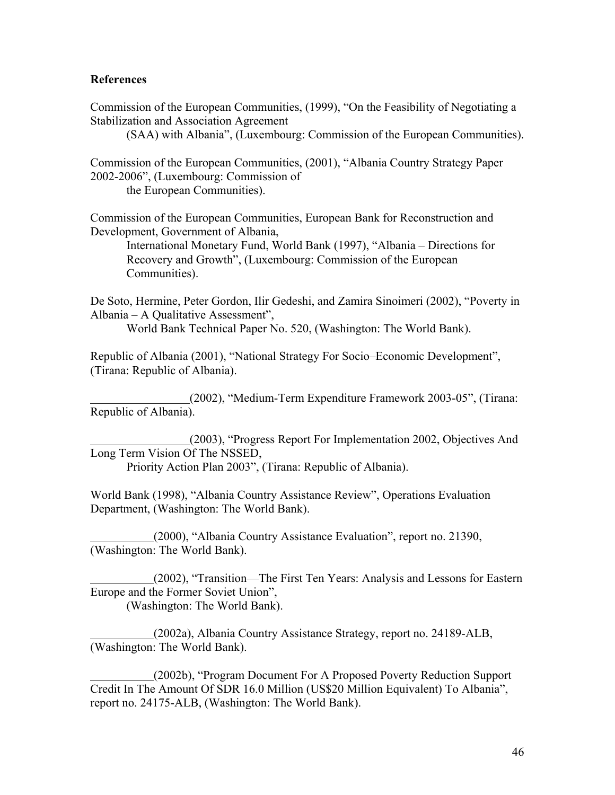#### **References**

Commission of the European Communities, (1999), "On the Feasibility of Negotiating a Stabilization and Association Agreement

(SAA) with Albania", (Luxembourg: Commission of the European Communities).

Commission of the European Communities, (2001), "Albania Country Strategy Paper 2002-2006", (Luxembourg: Commission of the European Communities).

Commission of the European Communities, European Bank for Reconstruction and Development, Government of Albania,

International Monetary Fund, World Bank (1997), "Albania – Directions for Recovery and Growth", (Luxembourg: Commission of the European Communities).

De Soto, Hermine, Peter Gordon, Ilir Gedeshi, and Zamira Sinoimeri (2002), "Poverty in Albania – A Qualitative Assessment",

World Bank Technical Paper No. 520, (Washington: The World Bank).

Republic of Albania (2001), "National Strategy For Socio–Economic Development", (Tirana: Republic of Albania).

 (2002), "Medium-Term Expenditure Framework 2003-05", (Tirana: Republic of Albania).

 (2003), "Progress Report For Implementation 2002, Objectives And Long Term Vision Of The NSSED, Priority Action Plan 2003", (Tirana: Republic of Albania).

World Bank (1998), "Albania Country Assistance Review", Operations Evaluation Department, (Washington: The World Bank).

 (2000), "Albania Country Assistance Evaluation", report no. 21390, (Washington: The World Bank).

 (2002), "Transition—The First Ten Years: Analysis and Lessons for Eastern Europe and the Former Soviet Union", (Washington: The World Bank).

 (2002a), Albania Country Assistance Strategy, report no. 24189-ALB, (Washington: The World Bank).

 (2002b), "Program Document For A Proposed Poverty Reduction Support Credit In The Amount Of SDR 16.0 Million (US\$20 Million Equivalent) To Albania", report no. 24175-ALB, (Washington: The World Bank).